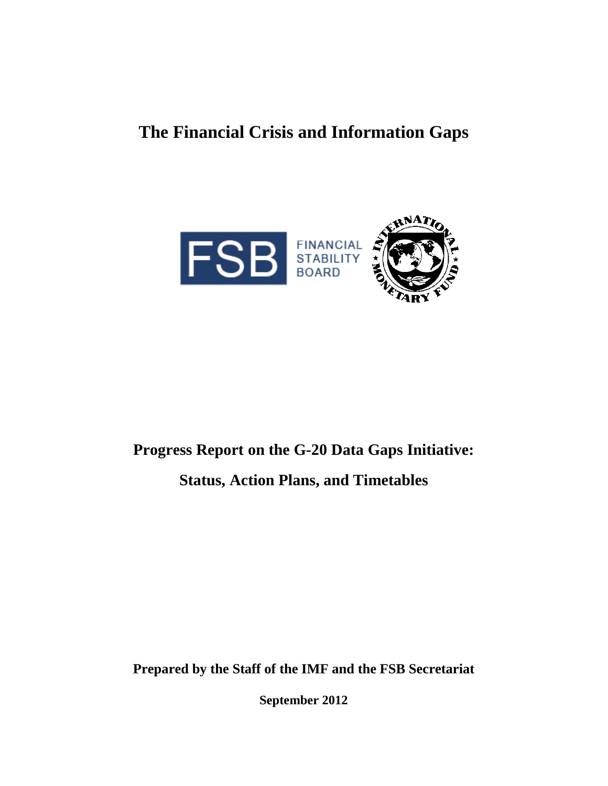# **The Financial Crisis and Information Gaps**



# **Progress Report on the G-20 Data Gaps Initiative: Status, Action Plans, and Timetables**

**Prepared by the Staff of the IMF and the FSB Secretariat**

**September 2012**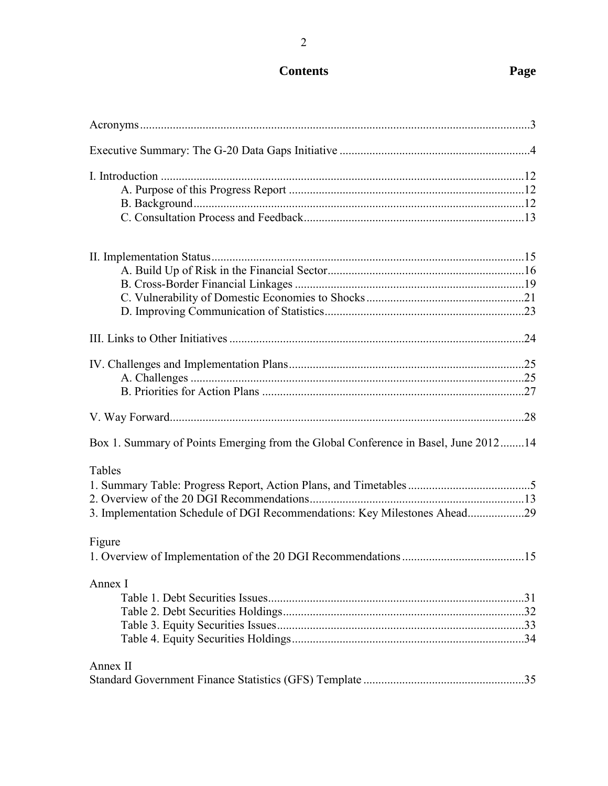# **Contents Page**

| Box 1. Summary of Points Emerging from the Global Conference in Basel, June 201214 |  |
|------------------------------------------------------------------------------------|--|
| Tables                                                                             |  |
|                                                                                    |  |
|                                                                                    |  |
| 3. Implementation Schedule of DGI Recommendations: Key Milestones Ahead29          |  |
| Figure                                                                             |  |
|                                                                                    |  |
| Annex I                                                                            |  |
|                                                                                    |  |
|                                                                                    |  |
|                                                                                    |  |
|                                                                                    |  |
| Annex II                                                                           |  |
|                                                                                    |  |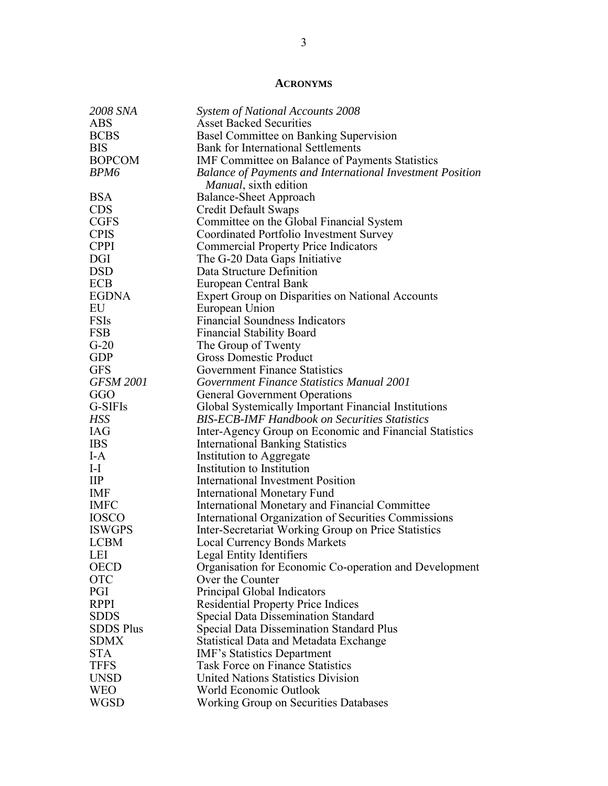#### **ACRONYMS**

| 2008 SNA         | <b>System of National Accounts 2008</b>                          |
|------------------|------------------------------------------------------------------|
| <b>ABS</b>       | <b>Asset Backed Securities</b>                                   |
| <b>BCBS</b>      | Basel Committee on Banking Supervision                           |
| <b>BIS</b>       | <b>Bank for International Settlements</b>                        |
| <b>BOPCOM</b>    | <b>IMF</b> Committee on Balance of Payments Statistics           |
| <b>BPM6</b>      | <b>Balance of Payments and International Investment Position</b> |
|                  | Manual, sixth edition                                            |
| <b>BSA</b>       | Balance-Sheet Approach                                           |
| <b>CDS</b>       | Credit Default Swaps                                             |
| <b>CGFS</b>      | Committee on the Global Financial System                         |
| <b>CPIS</b>      | Coordinated Portfolio Investment Survey                          |
| <b>CPPI</b>      | <b>Commercial Property Price Indicators</b>                      |
| DGI              | The G-20 Data Gaps Initiative                                    |
| <b>DSD</b>       | Data Structure Definition                                        |
| ECB              | European Central Bank                                            |
| <b>EGDNA</b>     | <b>Expert Group on Disparities on National Accounts</b>          |
| EU               |                                                                  |
| <b>FSIs</b>      | European Union<br><b>Financial Soundness Indicators</b>          |
|                  |                                                                  |
| <b>FSB</b>       | <b>Financial Stability Board</b>                                 |
| $G-20$           | The Group of Twenty                                              |
| <b>GDP</b>       | <b>Gross Domestic Product</b>                                    |
| <b>GFS</b>       | <b>Government Finance Statistics</b>                             |
| <b>GFSM 2001</b> | Government Finance Statistics Manual 2001                        |
| GGO              | <b>General Government Operations</b>                             |
| G-SIFIs          | Global Systemically Important Financial Institutions             |
| <b>HSS</b>       | <b>BIS-ECB-IMF Handbook on Securities Statistics</b>             |
| <b>IAG</b>       | Inter-Agency Group on Economic and Financial Statistics          |
| <b>IBS</b>       | <b>International Banking Statistics</b>                          |
| $I-A$            | Institution to Aggregate                                         |
| $I-I$            | Institution to Institution                                       |
| $\mathbf{IIP}$   | <b>International Investment Position</b>                         |
| <b>IMF</b>       | <b>International Monetary Fund</b>                               |
| <b>IMFC</b>      | International Monetary and Financial Committee                   |
| <b>IOSCO</b>     | International Organization of Securities Commissions             |
| <b>ISWGPS</b>    | Inter-Secretariat Working Group on Price Statistics              |
| <b>LCBM</b>      | <b>Local Currency Bonds Markets</b>                              |
| LEI              | Legal Entity Identifiers                                         |
| <b>OECD</b>      | Organisation for Economic Co-operation and Development           |
| <b>OTC</b>       | Over the Counter                                                 |
| PGI              | Principal Global Indicators                                      |
| <b>RPPI</b>      | <b>Residential Property Price Indices</b>                        |
| <b>SDDS</b>      | <b>Special Data Dissemination Standard</b>                       |
| <b>SDDS Plus</b> | <b>Special Data Dissemination Standard Plus</b>                  |
| <b>SDMX</b>      | <b>Statistical Data and Metadata Exchange</b>                    |
| <b>STA</b>       | <b>IMF's Statistics Department</b>                               |
| <b>TFFS</b>      | <b>Task Force on Finance Statistics</b>                          |
| <b>UNSD</b>      | <b>United Nations Statistics Division</b>                        |
| <b>WEO</b>       | World Economic Outlook                                           |
| WGSD             | <b>Working Group on Securities Databases</b>                     |
|                  |                                                                  |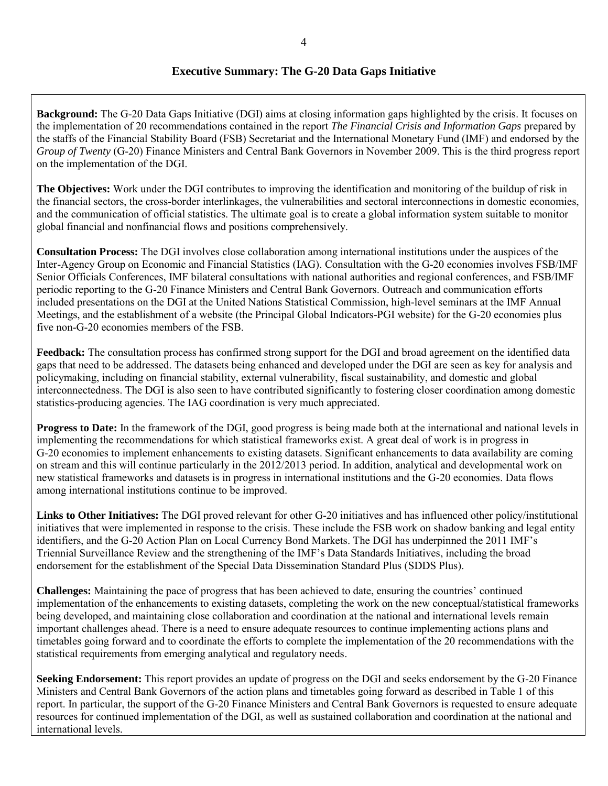#### **Executive Summary: The G-20 Data Gaps Initiative**

**Background:** The G-20 Data Gaps Initiative (DGI) aims at closing information gaps highlighted by the crisis. It focuses on the implementation of 20 recommendations contained in the report *The Financial Crisis and Information Gaps* prepared by the staffs of the Financial Stability Board (FSB) Secretariat and the International Monetary Fund (IMF) and endorsed by the *Group of Twenty* (G-20) Finance Ministers and Central Bank Governors in November 2009. This is the third progress report on the implementation of the DGI.

**The Objectives:** Work under the DGI contributes to improving the identification and monitoring of the buildup of risk in the financial sectors, the cross-border interlinkages, the vulnerabilities and sectoral interconnections in domestic economies, and the communication of official statistics. The ultimate goal is to create a global information system suitable to monitor global financial and nonfinancial flows and positions comprehensively.

**Consultation Process:** The DGI involves close collaboration among international institutions under the auspices of the Inter-Agency Group on Economic and Financial Statistics (IAG). Consultation with the G-20 economies involves FSB/IMF Senior Officials Conferences, IMF bilateral consultations with national authorities and regional conferences, and FSB/IMF periodic reporting to the G-20 Finance Ministers and Central Bank Governors. Outreach and communication efforts included presentations on the DGI at the United Nations Statistical Commission, high-level seminars at the IMF Annual Meetings, and the establishment of a website (the Principal Global Indicators-PGI website) for the G-20 economies plus five non-G-20 economies members of the FSB.

**Feedback:** The consultation process has confirmed strong support for the DGI and broad agreement on the identified data gaps that need to be addressed. The datasets being enhanced and developed under the DGI are seen as key for analysis and policymaking, including on financial stability, external vulnerability, fiscal sustainability, and domestic and global interconnectedness. The DGI is also seen to have contributed significantly to fostering closer coordination among domestic statistics-producing agencies. The IAG coordination is very much appreciated.

**Progress to Date:** In the framework of the DGI, good progress is being made both at the international and national levels in implementing the recommendations for which statistical frameworks exist. A great deal of work is in progress in G-20 economies to implement enhancements to existing datasets. Significant enhancements to data availability are coming on stream and this will continue particularly in the 2012/2013 period. In addition, analytical and developmental work on new statistical frameworks and datasets is in progress in international institutions and the G-20 economies. Data flows among international institutions continue to be improved.

**Links to Other Initiatives:** The DGI proved relevant for other G-20 initiatives and has influenced other policy/institutional initiatives that were implemented in response to the crisis. These include the FSB work on shadow banking and legal entity identifiers, and the G-20 Action Plan on Local Currency Bond Markets. The DGI has underpinned the 2011 IMF's Triennial Surveillance Review and the strengthening of the IMF's Data Standards Initiatives, including the broad endorsement for the establishment of the Special Data Dissemination Standard Plus (SDDS Plus).

**Challenges:** Maintaining the pace of progress that has been achieved to date, ensuring the countries' continued implementation of the enhancements to existing datasets, completing the work on the new conceptual/statistical frameworks being developed, and maintaining close collaboration and coordination at the national and international levels remain important challenges ahead. There is a need to ensure adequate resources to continue implementing actions plans and timetables going forward and to coordinate the efforts to complete the implementation of the 20 recommendations with the statistical requirements from emerging analytical and regulatory needs.

**Seeking Endorsement:** This report provides an update of progress on the DGI and seeks endorsement by the G-20 Finance Ministers and Central Bank Governors of the action plans and timetables going forward as described in Table 1 of this report. In particular, the support of the G-20 Finance Ministers and Central Bank Governors is requested to ensure adequate resources for continued implementation of the DGI, as well as sustained collaboration and coordination at the national and international levels.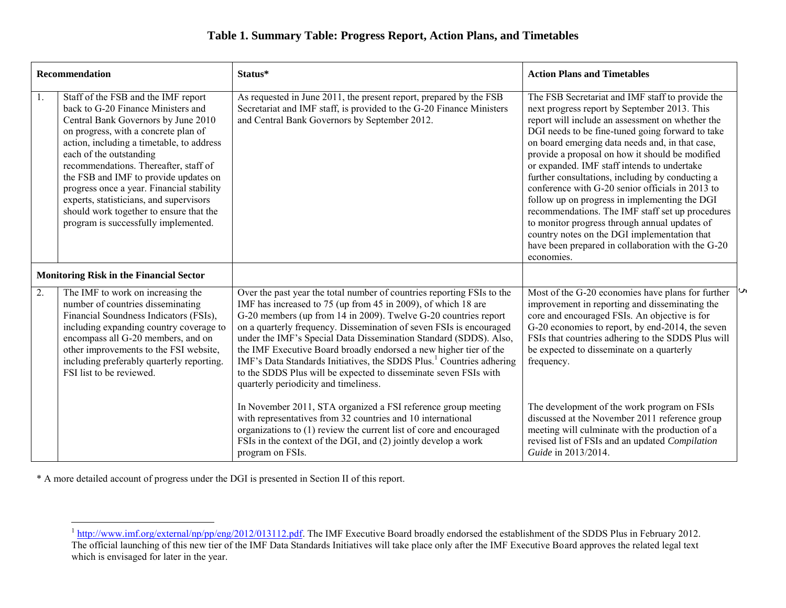## **Table 1. Summary Table: Progress Report, Action Plans, and Timetables**

|                                                | Recommendation                                                                                                                                                                                                                                                                                                                                                                                                                                                                                | Status*                                                                                                                                                                                                                                                                                                                                                                                                                                                                                                                                                                                                                      | <b>Action Plans and Timetables</b>                                                                                                                                                                                                                                                                                                                                                                                                                                                                                                                                                                                                                                                                                                             |
|------------------------------------------------|-----------------------------------------------------------------------------------------------------------------------------------------------------------------------------------------------------------------------------------------------------------------------------------------------------------------------------------------------------------------------------------------------------------------------------------------------------------------------------------------------|------------------------------------------------------------------------------------------------------------------------------------------------------------------------------------------------------------------------------------------------------------------------------------------------------------------------------------------------------------------------------------------------------------------------------------------------------------------------------------------------------------------------------------------------------------------------------------------------------------------------------|------------------------------------------------------------------------------------------------------------------------------------------------------------------------------------------------------------------------------------------------------------------------------------------------------------------------------------------------------------------------------------------------------------------------------------------------------------------------------------------------------------------------------------------------------------------------------------------------------------------------------------------------------------------------------------------------------------------------------------------------|
| 1.                                             | Staff of the FSB and the IMF report<br>back to G-20 Finance Ministers and<br>Central Bank Governors by June 2010<br>on progress, with a concrete plan of<br>action, including a timetable, to address<br>each of the outstanding<br>recommendations. Thereafter, staff of<br>the FSB and IMF to provide updates on<br>progress once a year. Financial stability<br>experts, statisticians, and supervisors<br>should work together to ensure that the<br>program is successfully implemented. | As requested in June 2011, the present report, prepared by the FSB<br>Secretariat and IMF staff, is provided to the G-20 Finance Ministers<br>and Central Bank Governors by September 2012.                                                                                                                                                                                                                                                                                                                                                                                                                                  | The FSB Secretariat and IMF staff to provide the<br>next progress report by September 2013. This<br>report will include an assessment on whether the<br>DGI needs to be fine-tuned going forward to take<br>on board emerging data needs and, in that case,<br>provide a proposal on how it should be modified<br>or expanded. IMF staff intends to undertake<br>further consultations, including by conducting a<br>conference with G-20 senior officials in 2013 to<br>follow up on progress in implementing the DGI<br>recommendations. The IMF staff set up procedures<br>to monitor progress through annual updates of<br>country notes on the DGI implementation that<br>have been prepared in collaboration with the G-20<br>economies. |
| <b>Monitoring Risk in the Financial Sector</b> |                                                                                                                                                                                                                                                                                                                                                                                                                                                                                               |                                                                                                                                                                                                                                                                                                                                                                                                                                                                                                                                                                                                                              |                                                                                                                                                                                                                                                                                                                                                                                                                                                                                                                                                                                                                                                                                                                                                |
| 2.                                             | The IMF to work on increasing the<br>number of countries disseminating<br>Financial Soundness Indicators (FSIs),<br>including expanding country coverage to<br>encompass all G-20 members, and on<br>other improvements to the FSI website,<br>including preferably quarterly reporting.<br>FSI list to be reviewed.                                                                                                                                                                          | Over the past year the total number of countries reporting FSIs to the<br>IMF has increased to 75 (up from 45 in 2009), of which 18 are<br>G-20 members (up from 14 in 2009). Twelve G-20 countries report<br>on a quarterly frequency. Dissemination of seven FSIs is encouraged<br>under the IMF's Special Data Dissemination Standard (SDDS). Also,<br>the IMF Executive Board broadly endorsed a new higher tier of the<br>IMF's Data Standards Initiatives, the SDDS Plus. <sup>1</sup> Countries adhering<br>to the SDDS Plus will be expected to disseminate seven FSIs with<br>quarterly periodicity and timeliness. | Most of the G-20 economies have plans for further<br>S<br>improvement in reporting and disseminating the<br>core and encouraged FSIs. An objective is for<br>G-20 economies to report, by end-2014, the seven<br>FSIs that countries adhering to the SDDS Plus will<br>be expected to disseminate on a quarterly<br>frequency.                                                                                                                                                                                                                                                                                                                                                                                                                 |
|                                                |                                                                                                                                                                                                                                                                                                                                                                                                                                                                                               | In November 2011, STA organized a FSI reference group meeting<br>with representatives from 32 countries and 10 international<br>organizations to (1) review the current list of core and encouraged<br>FSIs in the context of the DGI, and (2) jointly develop a work<br>program on FSIs.                                                                                                                                                                                                                                                                                                                                    | The development of the work program on FSIs<br>discussed at the November 2011 reference group<br>meeting will culminate with the production of a<br>revised list of FSIs and an updated Compilation<br>Guide in 2013/2014.                                                                                                                                                                                                                                                                                                                                                                                                                                                                                                                     |

\* A more detailed account of progress under the DGI is presented in Section II of this report.

<sup>&</sup>lt;sup>1</sup> [http://www.imf.org/external/np/pp/eng/2012/013112.pdf.](http://www.imf.org/external/np/pp/eng/2012/013112.pdf) The IMF Executive Board broadly endorsed the establishment of the SDDS Plus in February 2012. The official launching of this new tier of the IMF Data Standards Initiatives will take place only after the IMF Executive Board approves the related legal text which is envisaged for later in the year.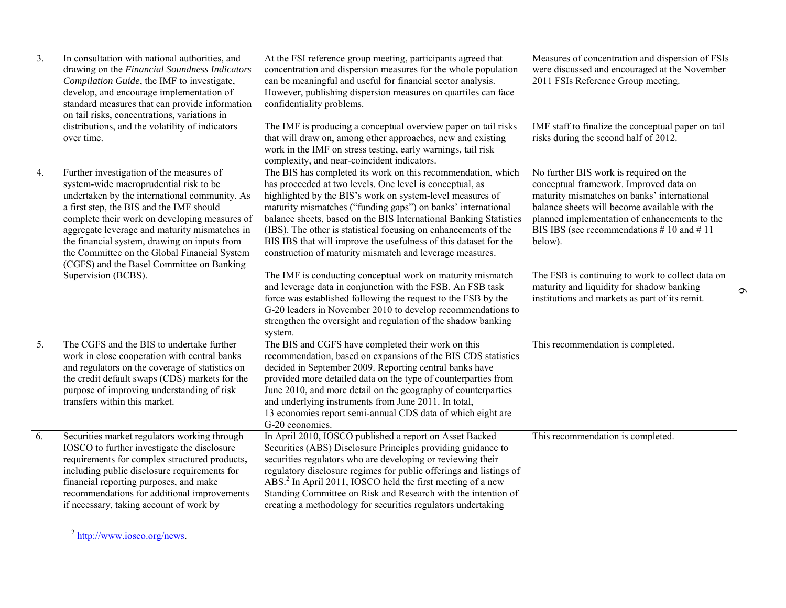| 3. | In consultation with national authorities, and  | At the FSI reference group meeting, participants agreed that           | Measures of concentration and dispersion of FSIs   |          |
|----|-------------------------------------------------|------------------------------------------------------------------------|----------------------------------------------------|----------|
|    | drawing on the Financial Soundness Indicators   | concentration and dispersion measures for the whole population         | were discussed and encouraged at the November      |          |
|    | Compilation Guide, the IMF to investigate,      | can be meaningful and useful for financial sector analysis.            | 2011 FSIs Reference Group meeting.                 |          |
|    | develop, and encourage implementation of        | However, publishing dispersion measures on quartiles can face          |                                                    |          |
|    | standard measures that can provide information  | confidentiality problems.                                              |                                                    |          |
|    | on tail risks, concentrations, variations in    |                                                                        |                                                    |          |
|    | distributions, and the volatility of indicators | The IMF is producing a conceptual overview paper on tail risks         | IMF staff to finalize the conceptual paper on tail |          |
|    | over time.                                      | that will draw on, among other approaches, new and existing            | risks during the second half of 2012.              |          |
|    |                                                 | work in the IMF on stress testing, early warnings, tail risk           |                                                    |          |
|    |                                                 | complexity, and near-coincident indicators.                            |                                                    |          |
| 4. | Further investigation of the measures of        | The BIS has completed its work on this recommendation, which           | No further BIS work is required on the             |          |
|    | system-wide macroprudential risk to be          | has proceeded at two levels. One level is conceptual, as               | conceptual framework. Improved data on             |          |
|    | undertaken by the international community. As   | highlighted by the BIS's work on system-level measures of              | maturity mismatches on banks' international        |          |
|    | a first step, the BIS and the IMF should        | maturity mismatches ("funding gaps") on banks' international           | balance sheets will become available with the      |          |
|    | complete their work on developing measures of   | balance sheets, based on the BIS International Banking Statistics      | planned implementation of enhancements to the      |          |
|    | aggregate leverage and maturity mismatches in   | (IBS). The other is statistical focusing on enhancements of the        | BIS IBS (see recommendations $# 10$ and $# 11$     |          |
|    | the financial system, drawing on inputs from    | BIS IBS that will improve the usefulness of this dataset for the       | below).                                            |          |
|    | the Committee on the Global Financial System    | construction of maturity mismatch and leverage measures.               |                                                    |          |
|    | (CGFS) and the Basel Committee on Banking       |                                                                        |                                                    |          |
|    |                                                 |                                                                        |                                                    |          |
|    | Supervision (BCBS).                             | The IMF is conducting conceptual work on maturity mismatch             | The FSB is continuing to work to collect data on   |          |
|    |                                                 | and leverage data in conjunction with the FSB. An FSB task             | maturity and liquidity for shadow banking          | $\sigma$ |
|    |                                                 | force was established following the request to the FSB by the          | institutions and markets as part of its remit.     |          |
|    |                                                 | G-20 leaders in November 2010 to develop recommendations to            |                                                    |          |
|    |                                                 | strengthen the oversight and regulation of the shadow banking          |                                                    |          |
|    |                                                 | system.                                                                |                                                    |          |
| 5. | The CGFS and the BIS to undertake further       | The BIS and CGFS have completed their work on this                     | This recommendation is completed.                  |          |
|    | work in close cooperation with central banks    | recommendation, based on expansions of the BIS CDS statistics          |                                                    |          |
|    | and regulators on the coverage of statistics on | decided in September 2009. Reporting central banks have                |                                                    |          |
|    | the credit default swaps (CDS) markets for the  | provided more detailed data on the type of counterparties from         |                                                    |          |
|    | purpose of improving understanding of risk      | June 2010, and more detail on the geography of counterparties          |                                                    |          |
|    | transfers within this market.                   | and underlying instruments from June 2011. In total,                   |                                                    |          |
|    |                                                 | 13 economies report semi-annual CDS data of which eight are            |                                                    |          |
|    |                                                 | G-20 economies.                                                        |                                                    |          |
| 6. | Securities market regulators working through    | In April 2010, IOSCO published a report on Asset Backed                | This recommendation is completed.                  |          |
|    | IOSCO to further investigate the disclosure     | Securities (ABS) Disclosure Principles providing guidance to           |                                                    |          |
|    | requirements for complex structured products,   | securities regulators who are developing or reviewing their            |                                                    |          |
|    | including public disclosure requirements for    | regulatory disclosure regimes for public offerings and listings of     |                                                    |          |
|    | financial reporting purposes, and make          | ABS. <sup>2</sup> In April 2011, IOSCO held the first meeting of a new |                                                    |          |
|    | recommendations for additional improvements     | Standing Committee on Risk and Research with the intention of          |                                                    |          |
|    | if necessary, taking account of work by         | creating a methodology for securities regulators undertaking           |                                                    |          |

 $^{2}$  [http://www.iosco.org/news.](http://www.iosco.org/news)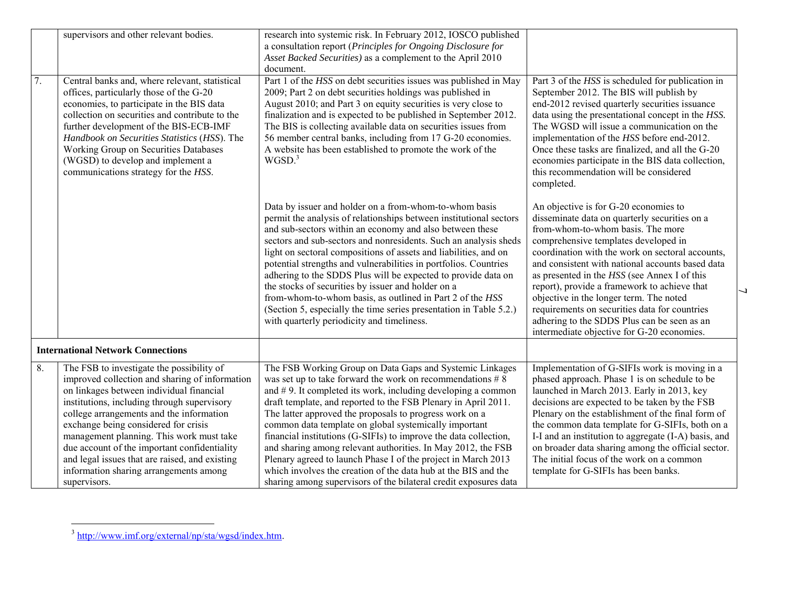|    | supervisors and other relevant bodies.                                                                                                                                                                                                                                                                                                                                                                                                                                             | research into systemic risk. In February 2012, IOSCO published<br>a consultation report (Principles for Ongoing Disclosure for<br>Asset Backed Securities) as a complement to the April 2010<br>document.                                                                                                                                                                                                                                                                                                                                                                                                                                                                                                                     |                                                                                                                                                                                                                                                                                                                                                                                                                                                                                                                                                                      |  |
|----|------------------------------------------------------------------------------------------------------------------------------------------------------------------------------------------------------------------------------------------------------------------------------------------------------------------------------------------------------------------------------------------------------------------------------------------------------------------------------------|-------------------------------------------------------------------------------------------------------------------------------------------------------------------------------------------------------------------------------------------------------------------------------------------------------------------------------------------------------------------------------------------------------------------------------------------------------------------------------------------------------------------------------------------------------------------------------------------------------------------------------------------------------------------------------------------------------------------------------|----------------------------------------------------------------------------------------------------------------------------------------------------------------------------------------------------------------------------------------------------------------------------------------------------------------------------------------------------------------------------------------------------------------------------------------------------------------------------------------------------------------------------------------------------------------------|--|
| 7. | Central banks and, where relevant, statistical<br>offices, particularly those of the G-20<br>economies, to participate in the BIS data<br>collection on securities and contribute to the<br>further development of the BIS-ECB-IMF<br>Handbook on Securities Statistics (HSS). The<br>Working Group on Securities Databases<br>(WGSD) to develop and implement a<br>communications strategy for the HSS.                                                                           | Part 1 of the HSS on debt securities issues was published in May<br>2009; Part 2 on debt securities holdings was published in<br>August 2010; and Part 3 on equity securities is very close to<br>finalization and is expected to be published in September 2012.<br>The BIS is collecting available data on securities issues from<br>56 member central banks, including from 17 G-20 economies.<br>A website has been established to promote the work of the<br>WGSD. <sup>3</sup>                                                                                                                                                                                                                                          | Part 3 of the HSS is scheduled for publication in<br>September 2012. The BIS will publish by<br>end-2012 revised quarterly securities issuance<br>data using the presentational concept in the HSS.<br>The WGSD will issue a communication on the<br>implementation of the HSS before end-2012.<br>Once these tasks are finalized, and all the G-20<br>economies participate in the BIS data collection,<br>this recommendation will be considered<br>completed.                                                                                                     |  |
|    |                                                                                                                                                                                                                                                                                                                                                                                                                                                                                    | Data by issuer and holder on a from-whom-to-whom basis<br>permit the analysis of relationships between institutional sectors<br>and sub-sectors within an economy and also between these<br>sectors and sub-sectors and nonresidents. Such an analysis sheds<br>light on sectoral compositions of assets and liabilities, and on<br>potential strengths and vulnerabilities in portfolios. Countries<br>adhering to the SDDS Plus will be expected to provide data on<br>the stocks of securities by issuer and holder on a<br>from-whom-to-whom basis, as outlined in Part 2 of the HSS<br>(Section 5, especially the time series presentation in Table 5.2.)<br>with quarterly periodicity and timeliness.                  | An objective is for G-20 economies to<br>disseminate data on quarterly securities on a<br>from-whom-to-whom basis. The more<br>comprehensive templates developed in<br>coordination with the work on sectoral accounts,<br>and consistent with national accounts based data<br>as presented in the HSS (see Annex I of this<br>report), provide a framework to achieve that<br>objective in the longer term. The noted<br>requirements on securities data for countries<br>adhering to the SDDS Plus can be seen as an<br>intermediate objective for G-20 economies. |  |
|    | <b>International Network Connections</b>                                                                                                                                                                                                                                                                                                                                                                                                                                           |                                                                                                                                                                                                                                                                                                                                                                                                                                                                                                                                                                                                                                                                                                                               |                                                                                                                                                                                                                                                                                                                                                                                                                                                                                                                                                                      |  |
| 8. | The FSB to investigate the possibility of<br>improved collection and sharing of information<br>on linkages between individual financial<br>institutions, including through supervisory<br>college arrangements and the information<br>exchange being considered for crisis<br>management planning. This work must take<br>due account of the important confidentiality<br>and legal issues that are raised, and existing<br>information sharing arrangements among<br>supervisors. | The FSB Working Group on Data Gaps and Systemic Linkages<br>was set up to take forward the work on recommendations $# 8$<br>and $# 9$ . It completed its work, including developing a common<br>draft template, and reported to the FSB Plenary in April 2011.<br>The latter approved the proposals to progress work on a<br>common data template on global systemically important<br>financial institutions (G-SIFIs) to improve the data collection,<br>and sharing among relevant authorities. In May 2012, the FSB<br>Plenary agreed to launch Phase I of the project in March 2013<br>which involves the creation of the data hub at the BIS and the<br>sharing among supervisors of the bilateral credit exposures data | Implementation of G-SIFIs work is moving in a<br>phased approach. Phase 1 is on schedule to be<br>launched in March 2013. Early in 2013, key<br>decisions are expected to be taken by the FSB<br>Plenary on the establishment of the final form of<br>the common data template for G-SIFIs, both on a<br>I-I and an institution to aggregate (I-A) basis, and<br>on broader data sharing among the official sector.<br>The initial focus of the work on a common<br>template for G-SIFIs has been banks.                                                             |  |

<sup>&</sup>lt;sup>3</sup> [http://www.imf.org/external/np/sta/wgsd/index.htm.](http://www.imf.org/external/np/sta/wgsd/index.htm)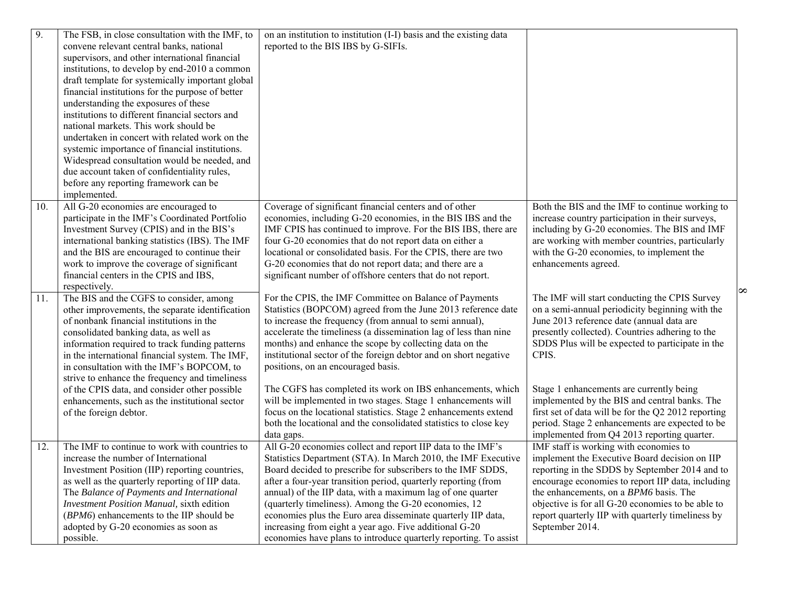| $\overline{9}$ . | The FSB, in close consultation with the IMF, to   | on an institution to institution (I-I) basis and the existing data |                                                     |          |
|------------------|---------------------------------------------------|--------------------------------------------------------------------|-----------------------------------------------------|----------|
|                  | convene relevant central banks, national          | reported to the BIS IBS by G-SIFIs.                                |                                                     |          |
|                  | supervisors, and other international financial    |                                                                    |                                                     |          |
|                  | institutions, to develop by end-2010 a common     |                                                                    |                                                     |          |
|                  | draft template for systemically important global  |                                                                    |                                                     |          |
|                  | financial institutions for the purpose of better  |                                                                    |                                                     |          |
|                  | understanding the exposures of these              |                                                                    |                                                     |          |
|                  | institutions to different financial sectors and   |                                                                    |                                                     |          |
|                  | national markets. This work should be             |                                                                    |                                                     |          |
|                  | undertaken in concert with related work on the    |                                                                    |                                                     |          |
|                  | systemic importance of financial institutions.    |                                                                    |                                                     |          |
|                  | Widespread consultation would be needed, and      |                                                                    |                                                     |          |
|                  | due account taken of confidentiality rules,       |                                                                    |                                                     |          |
|                  | before any reporting framework can be             |                                                                    |                                                     |          |
|                  | implemented.                                      |                                                                    |                                                     |          |
| 10.              | All G-20 economies are encouraged to              | Coverage of significant financial centers and of other             | Both the BIS and the IMF to continue working to     |          |
|                  | participate in the IMF's Coordinated Portfolio    | economies, including G-20 economies, in the BIS IBS and the        | increase country participation in their surveys,    |          |
|                  | Investment Survey (CPIS) and in the BIS's         | IMF CPIS has continued to improve. For the BIS IBS, there are      | including by G-20 economies. The BIS and IMF        |          |
|                  | international banking statistics (IBS). The IMF   | four G-20 economies that do not report data on either a            | are working with member countries, particularly     |          |
|                  | and the BIS are encouraged to continue their      | locational or consolidated basis. For the CPIS, there are two      | with the G-20 economies, to implement the           |          |
|                  | work to improve the coverage of significant       | G-20 economies that do not report data; and there are a            | enhancements agreed.                                |          |
|                  | financial centers in the CPIS and IBS,            | significant number of offshore centers that do not report.         |                                                     |          |
|                  | respectively.                                     |                                                                    |                                                     | $\infty$ |
| 11.              | The BIS and the CGFS to consider, among           | For the CPIS, the IMF Committee on Balance of Payments             | The IMF will start conducting the CPIS Survey       |          |
|                  | other improvements, the separate identification   | Statistics (BOPCOM) agreed from the June 2013 reference date       | on a semi-annual periodicity beginning with the     |          |
|                  | of nonbank financial institutions in the          | to increase the frequency (from annual to semi annual),            | June 2013 reference date (annual data are           |          |
|                  | consolidated banking data, as well as             | accelerate the timeliness (a dissemination lag of less than nine   | presently collected). Countries adhering to the     |          |
|                  | information required to track funding patterns    | months) and enhance the scope by collecting data on the            | SDDS Plus will be expected to participate in the    |          |
|                  | in the international financial system. The IMF,   | institutional sector of the foreign debtor and on short negative   | CPIS.                                               |          |
|                  | in consultation with the IMF's BOPCOM, to         | positions, on an encouraged basis.                                 |                                                     |          |
|                  | strive to enhance the frequency and timeliness    |                                                                    |                                                     |          |
|                  | of the CPIS data, and consider other possible     | The CGFS has completed its work on IBS enhancements, which         | Stage 1 enhancements are currently being            |          |
|                  | enhancements, such as the institutional sector    | will be implemented in two stages. Stage 1 enhancements will       | implemented by the BIS and central banks. The       |          |
|                  | of the foreign debtor.                            | focus on the locational statistics. Stage 2 enhancements extend    | first set of data will be for the Q2 2012 reporting |          |
|                  |                                                   | both the locational and the consolidated statistics to close key   | period. Stage 2 enhancements are expected to be     |          |
|                  |                                                   | data gaps.                                                         | implemented from Q4 2013 reporting quarter.         |          |
| 12.              | The IMF to continue to work with countries to     | All G-20 economies collect and report IIP data to the IMF's        | IMF staff is working with economies to              |          |
|                  | increase the number of International              | Statistics Department (STA). In March 2010, the IMF Executive      | implement the Executive Board decision on IIP       |          |
|                  | Investment Position (IIP) reporting countries,    | Board decided to prescribe for subscribers to the IMF SDDS,        | reporting in the SDDS by September 2014 and to      |          |
|                  | as well as the quarterly reporting of IIP data.   | after a four-year transition period, quarterly reporting (from     | encourage economies to report IIP data, including   |          |
|                  | The Balance of Payments and International         | annual) of the IIP data, with a maximum lag of one quarter         | the enhancements, on a BPM6 basis. The              |          |
|                  | <b>Investment Position Manual</b> , sixth edition | (quarterly timeliness). Among the G-20 economies, 12               | objective is for all G-20 economies to be able to   |          |
|                  | (BPM6) enhancements to the IIP should be          | economies plus the Euro area disseminate quarterly IIP data,       | report quarterly IIP with quarterly timeliness by   |          |
|                  | adopted by G-20 economies as soon as              | increasing from eight a year ago. Five additional G-20             | September 2014.                                     |          |
|                  | possible.                                         | economies have plans to introduce quarterly reporting. To assist   |                                                     |          |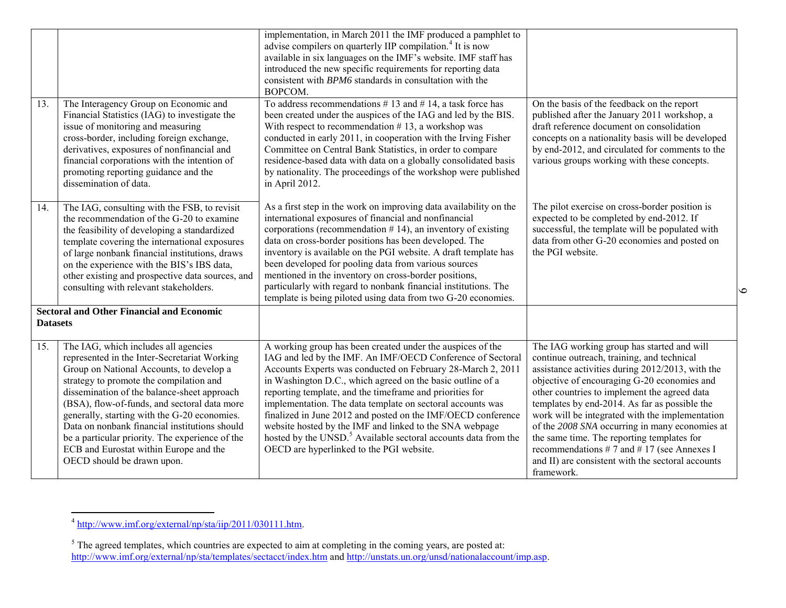|                                                                     |                                                                                                                                                                                                                                                                                                                                                                                                                                                                                                        | implementation, in March 2011 the IMF produced a pamphlet to<br>advise compilers on quarterly IIP compilation. <sup>4</sup> It is now<br>available in six languages on the IMF's website. IMF staff has<br>introduced the new specific requirements for reporting data<br>consistent with BPM6 standards in consultation with the<br>BOPCOM.                                                                                                                                                                                                                                                                                         |                                                                                                                                                                                                                                                                                                                                                                                                                                                                                                                                                                   |           |
|---------------------------------------------------------------------|--------------------------------------------------------------------------------------------------------------------------------------------------------------------------------------------------------------------------------------------------------------------------------------------------------------------------------------------------------------------------------------------------------------------------------------------------------------------------------------------------------|--------------------------------------------------------------------------------------------------------------------------------------------------------------------------------------------------------------------------------------------------------------------------------------------------------------------------------------------------------------------------------------------------------------------------------------------------------------------------------------------------------------------------------------------------------------------------------------------------------------------------------------|-------------------------------------------------------------------------------------------------------------------------------------------------------------------------------------------------------------------------------------------------------------------------------------------------------------------------------------------------------------------------------------------------------------------------------------------------------------------------------------------------------------------------------------------------------------------|-----------|
| 13.                                                                 | The Interagency Group on Economic and<br>Financial Statistics (IAG) to investigate the<br>issue of monitoring and measuring<br>cross-border, including foreign exchange,<br>derivatives, exposures of nonfinancial and<br>financial corporations with the intention of<br>promoting reporting guidance and the<br>dissemination of data.                                                                                                                                                               | To address recommendations $# 13$ and $# 14$ , a task force has<br>been created under the auspices of the IAG and led by the BIS.<br>With respect to recommendation $# 13$ , a workshop was<br>conducted in early 2011, in cooperation with the Irving Fisher<br>Committee on Central Bank Statistics, in order to compare<br>residence-based data with data on a globally consolidated basis<br>by nationality. The proceedings of the workshop were published<br>in April 2012.                                                                                                                                                    | On the basis of the feedback on the report<br>published after the January 2011 workshop, a<br>draft reference document on consolidation<br>concepts on a nationality basis will be developed<br>by end-2012, and circulated for comments to the<br>various groups working with these concepts.                                                                                                                                                                                                                                                                    |           |
| 14.                                                                 | The IAG, consulting with the FSB, to revisit<br>the recommendation of the G-20 to examine<br>the feasibility of developing a standardized<br>template covering the international exposures<br>of large nonbank financial institutions, draws<br>on the experience with the BIS's IBS data,<br>other existing and prospective data sources, and<br>consulting with relevant stakeholders.                                                                                                               | As a first step in the work on improving data availability on the<br>international exposures of financial and nonfinancial<br>corporations (recommendation $# 14$ ), an inventory of existing<br>data on cross-border positions has been developed. The<br>inventory is available on the PGI website. A draft template has<br>been developed for pooling data from various sources<br>mentioned in the inventory on cross-border positions,<br>particularly with regard to nonbank financial institutions. The<br>template is being piloted using data from two G-20 economies.                                                      | The pilot exercise on cross-border position is<br>expected to be completed by end-2012. If<br>successful, the template will be populated with<br>data from other G-20 economies and posted on<br>the PGI website.                                                                                                                                                                                                                                                                                                                                                 | $\bullet$ |
| <b>Sectoral and Other Financial and Economic</b><br><b>Datasets</b> |                                                                                                                                                                                                                                                                                                                                                                                                                                                                                                        |                                                                                                                                                                                                                                                                                                                                                                                                                                                                                                                                                                                                                                      |                                                                                                                                                                                                                                                                                                                                                                                                                                                                                                                                                                   |           |
| 15.                                                                 | The IAG, which includes all agencies<br>represented in the Inter-Secretariat Working<br>Group on National Accounts, to develop a<br>strategy to promote the compilation and<br>dissemination of the balance-sheet approach<br>(BSA), flow-of-funds, and sectoral data more<br>generally, starting with the G-20 economies.<br>Data on nonbank financial institutions should<br>be a particular priority. The experience of the<br>ECB and Eurostat within Europe and the<br>OECD should be drawn upon. | A working group has been created under the auspices of the<br>IAG and led by the IMF. An IMF/OECD Conference of Sectoral<br>Accounts Experts was conducted on February 28-March 2, 2011<br>in Washington D.C., which agreed on the basic outline of a<br>reporting template, and the timeframe and priorities for<br>implementation. The data template on sectoral accounts was<br>finalized in June 2012 and posted on the IMF/OECD conference<br>website hosted by the IMF and linked to the SNA webpage<br>hosted by the UNSD. <sup>5</sup> Available sectoral accounts data from the<br>OECD are hyperlinked to the PGI website. | The IAG working group has started and will<br>continue outreach, training, and technical<br>assistance activities during 2012/2013, with the<br>objective of encouraging G-20 economies and<br>other countries to implement the agreed data<br>templates by end-2014. As far as possible the<br>work will be integrated with the implementation<br>of the 2008 SNA occurring in many economies at<br>the same time. The reporting templates for<br>recommendations # 7 and # 17 (see Annexes I<br>and II) are consistent with the sectoral accounts<br>framework. |           |

<sup>&</sup>lt;sup>4</sup> [http://www.imf.org/external/np/sta/iip/2011/030111.htm.](http://www.imf.org/external/np/sta/iip/2011/030111.htm)

 $<sup>5</sup>$  The agreed templates, which countries are expected to aim at completing in the coming years, are posted at:</sup> <http://www.imf.org/external/np/sta/templates/sectacct/index.htm>and [http://unstats.un.org/unsd/nationalaccount/imp.asp.](http://unstats.un.org/unsd/nationalaccount/imp.asp)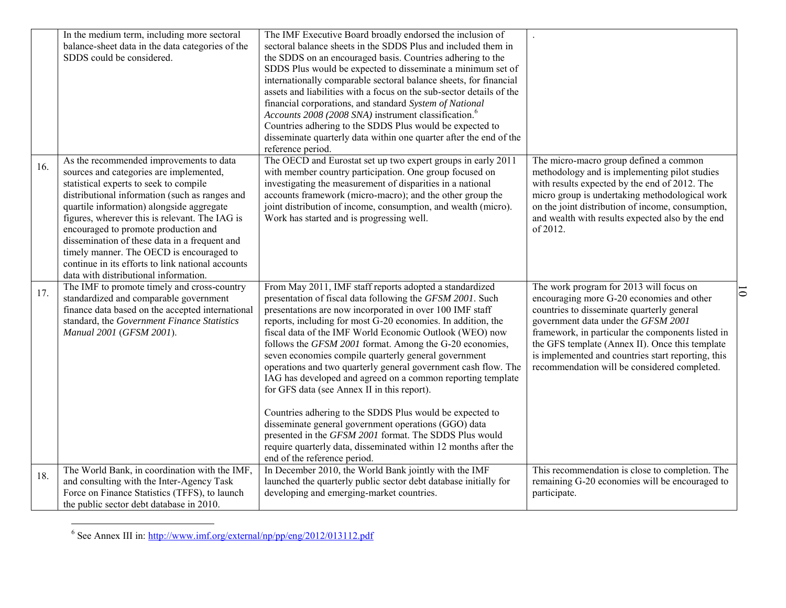|     | In the medium term, including more sectoral<br>balance-sheet data in the data categories of the<br>SDDS could be considered.                                                                                                                                                                                                                                                                                                                                                                                     | The IMF Executive Board broadly endorsed the inclusion of<br>sectoral balance sheets in the SDDS Plus and included them in<br>the SDDS on an encouraged basis. Countries adhering to the<br>SDDS Plus would be expected to disseminate a minimum set of<br>internationally comparable sectoral balance sheets, for financial<br>assets and liabilities with a focus on the sub-sector details of the<br>financial corporations, and standard System of National<br>Accounts 2008 (2008 SNA) instrument classification. <sup>6</sup><br>Countries adhering to the SDDS Plus would be expected to<br>disseminate quarterly data within one quarter after the end of the<br>reference period.                                                                                                                                                                                                      |                                                                                                                                                                                                                                                                                                                                                                                         |                    |
|-----|------------------------------------------------------------------------------------------------------------------------------------------------------------------------------------------------------------------------------------------------------------------------------------------------------------------------------------------------------------------------------------------------------------------------------------------------------------------------------------------------------------------|-------------------------------------------------------------------------------------------------------------------------------------------------------------------------------------------------------------------------------------------------------------------------------------------------------------------------------------------------------------------------------------------------------------------------------------------------------------------------------------------------------------------------------------------------------------------------------------------------------------------------------------------------------------------------------------------------------------------------------------------------------------------------------------------------------------------------------------------------------------------------------------------------|-----------------------------------------------------------------------------------------------------------------------------------------------------------------------------------------------------------------------------------------------------------------------------------------------------------------------------------------------------------------------------------------|--------------------|
| 16. | As the recommended improvements to data<br>sources and categories are implemented,<br>statistical experts to seek to compile<br>distributional information (such as ranges and<br>quartile information) alongside aggregate<br>figures, wherever this is relevant. The IAG is<br>encouraged to promote production and<br>dissemination of these data in a frequent and<br>timely manner. The OECD is encouraged to<br>continue in its efforts to link national accounts<br>data with distributional information. | The OECD and Eurostat set up two expert groups in early 2011<br>with member country participation. One group focused on<br>investigating the measurement of disparities in a national<br>accounts framework (micro-macro); and the other group the<br>joint distribution of income, consumption, and wealth (micro).<br>Work has started and is progressing well.                                                                                                                                                                                                                                                                                                                                                                                                                                                                                                                               | The micro-macro group defined a common<br>methodology and is implementing pilot studies<br>with results expected by the end of 2012. The<br>micro group is undertaking methodological work<br>on the joint distribution of income, consumption,<br>and wealth with results expected also by the end<br>of 2012.                                                                         |                    |
| 17. | The IMF to promote timely and cross-country<br>standardized and comparable government<br>finance data based on the accepted international<br>standard, the Government Finance Statistics<br>Manual 2001 (GFSM 2001).                                                                                                                                                                                                                                                                                             | From May 2011, IMF staff reports adopted a standardized<br>presentation of fiscal data following the GFSM 2001. Such<br>presentations are now incorporated in over 100 IMF staff<br>reports, including for most G-20 economies. In addition, the<br>fiscal data of the IMF World Economic Outlook (WEO) now<br>follows the GFSM 2001 format. Among the G-20 economies,<br>seven economies compile quarterly general government<br>operations and two quarterly general government cash flow. The<br>IAG has developed and agreed on a common reporting template<br>for GFS data (see Annex II in this report).<br>Countries adhering to the SDDS Plus would be expected to<br>disseminate general government operations (GGO) data<br>presented in the GFSM 2001 format. The SDDS Plus would<br>require quarterly data, disseminated within 12 months after the<br>end of the reference period. | The work program for 2013 will focus on<br>encouraging more G-20 economies and other<br>countries to disseminate quarterly general<br>government data under the GFSM 2001<br>framework, in particular the components listed in<br>the GFS template (Annex II). Once this template<br>is implemented and countries start reporting, this<br>recommendation will be considered completed. | $\overline{\circ}$ |
| 18. | The World Bank, in coordination with the IMF,<br>and consulting with the Inter-Agency Task<br>Force on Finance Statistics (TFFS), to launch<br>the public sector debt database in 2010.                                                                                                                                                                                                                                                                                                                          | In December 2010, the World Bank jointly with the IMF<br>launched the quarterly public sector debt database initially for<br>developing and emerging-market countries.                                                                                                                                                                                                                                                                                                                                                                                                                                                                                                                                                                                                                                                                                                                          | This recommendation is close to completion. The<br>remaining G-20 economies will be encouraged to<br>participate.                                                                                                                                                                                                                                                                       |                    |

<sup>&</sup>lt;sup>6</sup> See Annex III in:<http://www.imf.org/external/np/pp/eng/2012/013112.pdf>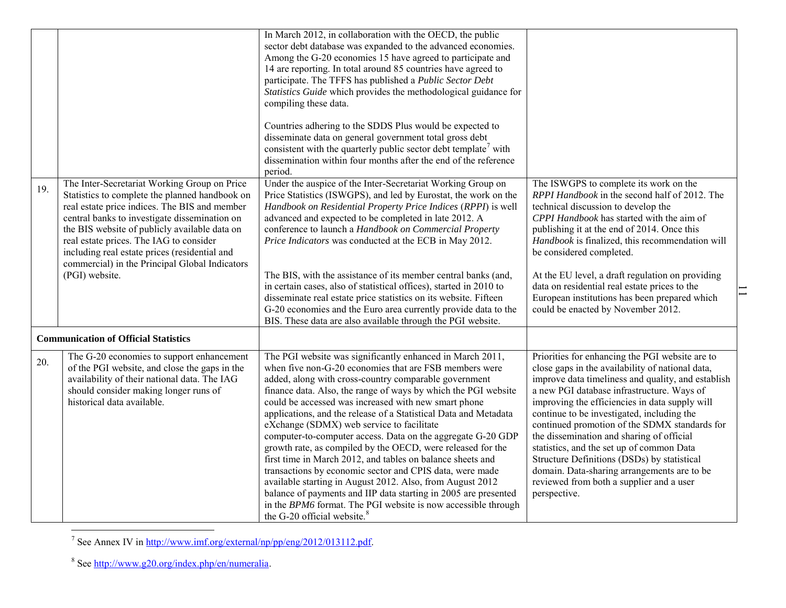| 19. | The Inter-Secretariat Working Group on Price<br>Statistics to complete the planned handbook on<br>real estate price indices. The BIS and member<br>central banks to investigate dissemination on<br>the BIS website of publicly available data on<br>real estate prices. The IAG to consider<br>including real estate prices (residential and<br>commercial) in the Principal Global Indicators<br>(PGI) website. | In March 2012, in collaboration with the OECD, the public<br>sector debt database was expanded to the advanced economies.<br>Among the G-20 economies 15 have agreed to participate and<br>14 are reporting. In total around 85 countries have agreed to<br>participate. The TFFS has published a Public Sector Debt<br>Statistics Guide which provides the methodological guidance for<br>compiling these data.<br>Countries adhering to the SDDS Plus would be expected to<br>disseminate data on general government total gross debt<br>consistent with the quarterly public sector debt template <sup>7</sup> with<br>dissemination within four months after the end of the reference<br>period.<br>Under the auspice of the Inter-Secretariat Working Group on<br>Price Statistics (ISWGPS), and led by Eurostat, the work on the<br>Handbook on Residential Property Price Indices (RPPI) is well<br>advanced and expected to be completed in late 2012. A<br>conference to launch a Handbook on Commercial Property<br>Price Indicators was conducted at the ECB in May 2012.<br>The BIS, with the assistance of its member central banks (and,<br>in certain cases, also of statistical offices), started in 2010 to<br>disseminate real estate price statistics on its website. Fifteen<br>G-20 economies and the Euro area currently provide data to the<br>BIS. These data are also available through the PGI website. | The ISWGPS to complete its work on the<br>RPPI Handbook in the second half of 2012. The<br>technical discussion to develop the<br>CPPI Handbook has started with the aim of<br>publishing it at the end of 2014. Once this<br>Handbook is finalized, this recommendation will<br>be considered completed.<br>At the EU level, a draft regulation on providing<br>data on residential real estate prices to the<br>European institutions has been prepared which<br>could be enacted by November 2012.                                                                                                        |  |
|-----|-------------------------------------------------------------------------------------------------------------------------------------------------------------------------------------------------------------------------------------------------------------------------------------------------------------------------------------------------------------------------------------------------------------------|-----------------------------------------------------------------------------------------------------------------------------------------------------------------------------------------------------------------------------------------------------------------------------------------------------------------------------------------------------------------------------------------------------------------------------------------------------------------------------------------------------------------------------------------------------------------------------------------------------------------------------------------------------------------------------------------------------------------------------------------------------------------------------------------------------------------------------------------------------------------------------------------------------------------------------------------------------------------------------------------------------------------------------------------------------------------------------------------------------------------------------------------------------------------------------------------------------------------------------------------------------------------------------------------------------------------------------------------------------------------------------------------------------------------------------------|--------------------------------------------------------------------------------------------------------------------------------------------------------------------------------------------------------------------------------------------------------------------------------------------------------------------------------------------------------------------------------------------------------------------------------------------------------------------------------------------------------------------------------------------------------------------------------------------------------------|--|
|     | <b>Communication of Official Statistics</b>                                                                                                                                                                                                                                                                                                                                                                       |                                                                                                                                                                                                                                                                                                                                                                                                                                                                                                                                                                                                                                                                                                                                                                                                                                                                                                                                                                                                                                                                                                                                                                                                                                                                                                                                                                                                                                   |                                                                                                                                                                                                                                                                                                                                                                                                                                                                                                                                                                                                              |  |
| 20. | The G-20 economies to support enhancement<br>of the PGI website, and close the gaps in the<br>availability of their national data. The IAG<br>should consider making longer runs of<br>historical data available.                                                                                                                                                                                                 | The PGI website was significantly enhanced in March 2011,<br>when five non-G-20 economies that are FSB members were<br>added, along with cross-country comparable government<br>finance data. Also, the range of ways by which the PGI website<br>could be accessed was increased with new smart phone<br>applications, and the release of a Statistical Data and Metadata<br>eXchange (SDMX) web service to facilitate<br>computer-to-computer access. Data on the aggregate G-20 GDP<br>growth rate, as compiled by the OECD, were released for the<br>first time in March 2012, and tables on balance sheets and<br>transactions by economic sector and CPIS data, were made<br>available starting in August 2012. Also, from August 2012<br>balance of payments and IIP data starting in 2005 are presented<br>in the BPM6 format. The PGI website is now accessible through<br>the G-20 official website. <sup>8</sup>                                                                                                                                                                                                                                                                                                                                                                                                                                                                                                       | Priorities for enhancing the PGI website are to<br>close gaps in the availability of national data,<br>improve data timeliness and quality, and establish<br>a new PGI database infrastructure. Ways of<br>improving the efficiencies in data supply will<br>continue to be investigated, including the<br>continued promotion of the SDMX standards for<br>the dissemination and sharing of official<br>statistics, and the set up of common Data<br>Structure Definitions (DSDs) by statistical<br>domain. Data-sharing arrangements are to be<br>reviewed from both a supplier and a user<br>perspective. |  |

<sup>&</sup>lt;sup>7</sup> See Annex IV in  $\frac{http://www.imf.org/external/np/pp/eng/2012/013112.pdf.}$ 

<sup>&</sup>lt;sup>8</sup> Se[e http://www.g20.org/index.php/en/numeralia.](http://www.g20.org/index.php/en/numeralia)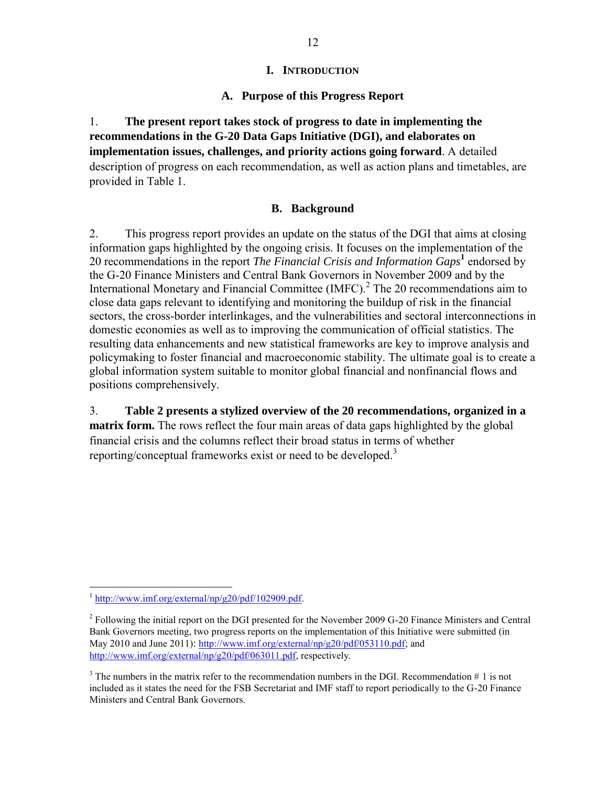#### **I. INTRODUCTION**

#### **A. Purpose of this Progress Report**

1. **The present report takes stock of progress to date in implementing the recommendations in the G-20 Data Gaps Initiative (DGI), and elaborates on implementation issues, challenges, and priority actions going forward**. A detailed description of progress on each recommendation, as well as action plans and timetables, are provided in Table 1.

#### **B. Background**

2. This progress report provides an update on the status of the DGI that aims at closing information gaps highlighted by the ongoing crisis. It focuses on the implementation of the 20 recommendations in the report *The Financial Crisis and Information Gaps***<sup>1</sup>** endorsed by the G-20 Finance Ministers and Central Bank Governors in November 2009 and by the International Monetary and Financial Committee  $(MFC)$ .<sup>2</sup> The 20 recommendations aim to close data gaps relevant to identifying and monitoring the buildup of risk in the financial sectors, the cross-border interlinkages, and the vulnerabilities and sectoral interconnections in domestic economies as well as to improving the communication of official statistics. The resulting data enhancements and new statistical frameworks are key to improve analysis and policymaking to foster financial and macroeconomic stability. The ultimate goal is to create a global information system suitable to monitor global financial and nonfinancial flows and positions comprehensively.

3. **Table 2 presents a stylized overview of the 20 recommendations, organized in a matrix form.** The rows reflect the four main areas of data gaps highlighted by the global financial crisis and the columns reflect their broad status in terms of whether reporting/conceptual frameworks exist or need to be developed.<sup>3</sup>

 $\overline{a}$  $1 \frac{\text{http://www.imf.org/external/np/g20/pdf/102909.pdf}}{$ 

<sup>&</sup>lt;sup>2</sup> Following the initial report on the DGI presented for the November 2009 G-20 Finance Ministers and Central Bank Governors meeting, two progress reports on the implementation of this Initiative were submitted (in May 2010 and June 2011): [http://www.imf.org/external/np/g20/pdf/053110.pdf;](http://www.imf.org/external/np/g20/pdf/053110.pdf) and [http://www.imf.org/external/np/g20/pdf/063011.pdf,](http://www.imf.org/external/np/g20/pdf/063011.pdf) respectively.

 $3$  The numbers in the matrix refer to the recommendation numbers in the DGI. Recommendation  $\#$  1 is not included as it states the need for the FSB Secretariat and IMF staff to report periodically to the G-20 Finance Ministers and Central Bank Governors.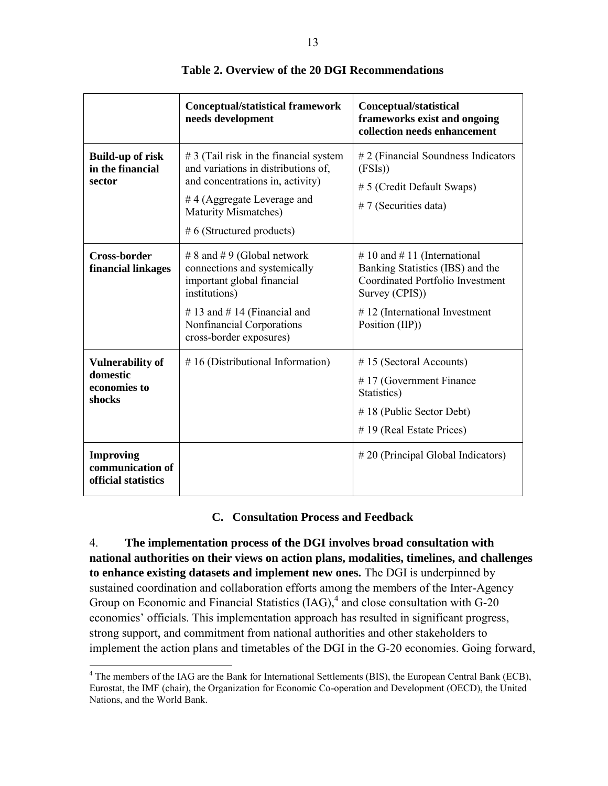|                                                               | <b>Conceptual/statistical framework</b><br>needs development                                                                                                                                                    | <b>Conceptual/statistical</b><br>frameworks exist and ongoing<br>collection needs enhancement                                                                                     |
|---------------------------------------------------------------|-----------------------------------------------------------------------------------------------------------------------------------------------------------------------------------------------------------------|-----------------------------------------------------------------------------------------------------------------------------------------------------------------------------------|
| <b>Build-up of risk</b><br>in the financial<br>sector         | $# 3$ (Tail risk in the financial system<br>and variations in distributions of,<br>and concentrations in, activity)<br>$#4$ (Aggregate Leverage and<br><b>Maturity Mismatches)</b><br># 6 (Structured products) | # 2 (Financial Soundness Indicators<br>(FSIs))<br># 5 (Credit Default Swaps)<br># 7 (Securities data)                                                                             |
| <b>Cross-border</b><br>financial linkages                     | # 8 and # 9 (Global network<br>connections and systemically<br>important global financial<br>institutions)<br># 13 and # 14 (Financial and<br>Nonfinancial Corporations<br>cross-border exposures)              | # 10 and # 11 (International<br>Banking Statistics (IBS) and the<br><b>Coordinated Portfolio Investment</b><br>Survey (CPIS))<br>#12 (International Investment<br>Position (IIP)) |
| <b>Vulnerability of</b><br>domestic<br>economies to<br>shocks | #16 (Distributional Information)                                                                                                                                                                                | #15 (Sectoral Accounts)<br>#17 (Government Finance<br>Statistics)<br>#18 (Public Sector Debt)<br># 19 (Real Estate Prices)                                                        |
| <b>Improving</b><br>communication of<br>official statistics   |                                                                                                                                                                                                                 | #20 (Principal Global Indicators)                                                                                                                                                 |

#### **Table 2. Overview of the 20 DGI Recommendations**

#### **C. Consultation Process and Feedback**

4. **The implementation process of the DGI involves broad consultation with national authorities on their views on action plans, modalities, timelines, and challenges to enhance existing datasets and implement new ones.** The DGI is underpinned by sustained coordination and collaboration efforts among the members of the Inter-Agency Group on Economic and Financial Statistics  $(IAG)$ ,<sup>4</sup> and close consultation with G-20 economies' officials. This implementation approach has resulted in significant progress, strong support, and commitment from national authorities and other stakeholders to implement the action plans and timetables of the DGI in the G-20 economies. Going forward,

<sup>&</sup>lt;sup>4</sup> The members of the IAG are the Bank for International Settlements (BIS), the European Central Bank (ECB), Eurostat, the IMF (chair), the Organization for Economic Co-operation and Development (OECD), the United Nations, and the World Bank.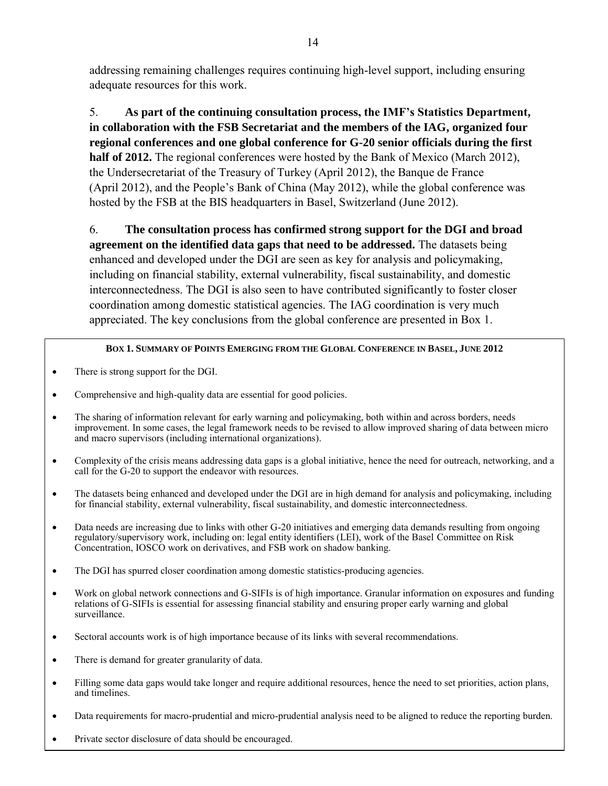addressing remaining challenges requires continuing high-level support, including ensuring adequate resources for this work.

5. **As part of the continuing consultation process, the IMF's Statistics Department, in collaboration with the FSB Secretariat and the members of the IAG, organized four regional conferences and one global conference for G-20 senior officials during the first half of 2012.** The regional conferences were hosted by the Bank of Mexico (March 2012), the Undersecretariat of the Treasury of Turkey (April 2012), the Banque de France (April 2012), and the People's Bank of China (May 2012), while the global conference was hosted by the FSB at the BIS headquarters in Basel, Switzerland (June 2012).

6. **The consultation process has confirmed strong support for the DGI and broad agreement on the identified data gaps that need to be addressed.** The datasets being enhanced and developed under the DGI are seen as key for analysis and policymaking, including on financial stability, external vulnerability, fiscal sustainability, and domestic interconnectedness. The DGI is also seen to have contributed significantly to foster closer coordination among domestic statistical agencies. The IAG coordination is very much appreciated. The key conclusions from the global conference are presented in Box 1.

#### **BOX 1. SUMMARY OF POINTS EMERGING FROM THE GLOBAL CONFERENCE IN BASEL, JUNE 2012**

- There is strong support for the DGI.
- Comprehensive and high-quality data are essential for good policies.
- The sharing of information relevant for early warning and policymaking, both within and across borders, needs improvement. In some cases, the legal framework needs to be revised to allow improved sharing of data between micro and macro supervisors (including international organizations).
- Complexity of the crisis means addressing data gaps is a global initiative, hence the need for outreach, networking, and a call for the G-20 to support the endeavor with resources.
- The datasets being enhanced and developed under the DGI are in high demand for analysis and policymaking, including for financial stability, external vulnerability, fiscal sustainability, and domestic interconnectedness.
- Data needs are increasing due to links with other G-20 initiatives and emerging data demands resulting from ongoing regulatory/supervisory work, including on: legal entity identifiers (LEI), work of the Basel Committee on Risk Concentration, IOSCO work on derivatives, and FSB work on shadow banking.
- The DGI has spurred closer coordination among domestic statistics-producing agencies.
- Work on global network connections and G-SIFIs is of high importance. Granular information on exposures and funding relations of G-SIFIs is essential for assessing financial stability and ensuring proper early warning and global surveillance.
- Sectoral accounts work is of high importance because of its links with several recommendations.
- There is demand for greater granularity of data.
- Filling some data gaps would take longer and require additional resources, hence the need to set priorities, action plans, and timelines.
- Data requirements for macro-prudential and micro-prudential analysis need to be aligned to reduce the reporting burden.
- Private sector disclosure of data should be encouraged.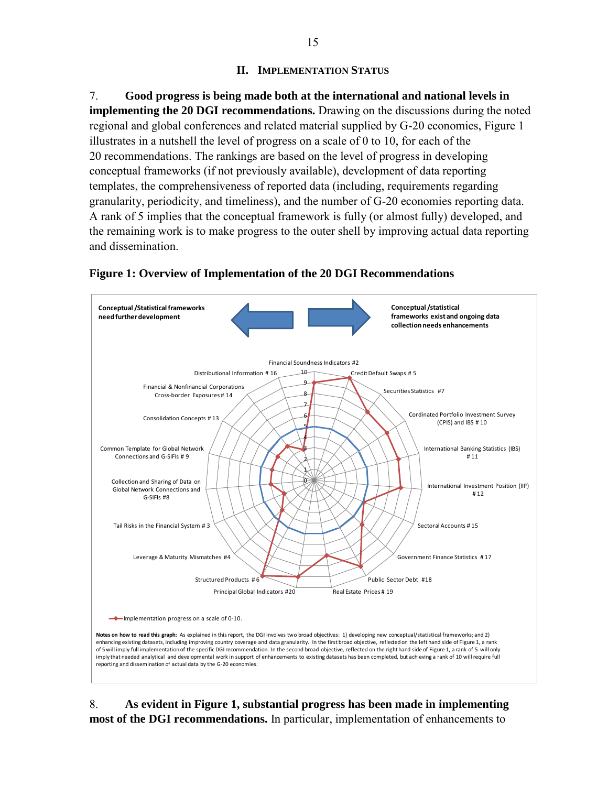#### **II. IMPLEMENTATION STATUS**

7. **Good progress is being made both at the international and national levels in implementing the 20 DGI recommendations.** Drawing on the discussions during the noted regional and global conferences and related material supplied by G-20 economies, Figure 1 illustrates in a nutshell the level of progress on a scale of 0 to 10, for each of the 20 recommendations. The rankings are based on the level of progress in developing conceptual frameworks (if not previously available), development of data reporting templates, the comprehensiveness of reported data (including, requirements regarding granularity, periodicity, and timeliness), and the number of G-20 economies reporting data. A rank of 5 implies that the conceptual framework is fully (or almost fully) developed, and the remaining work is to make progress to the outer shell by improving actual data reporting and dissemination.



**Figure 1: Overview of Implementation of the 20 DGI Recommendations** 

8. **As evident in Figure 1, substantial progress has been made in implementing most of the DGI recommendations.** In particular, implementation of enhancements to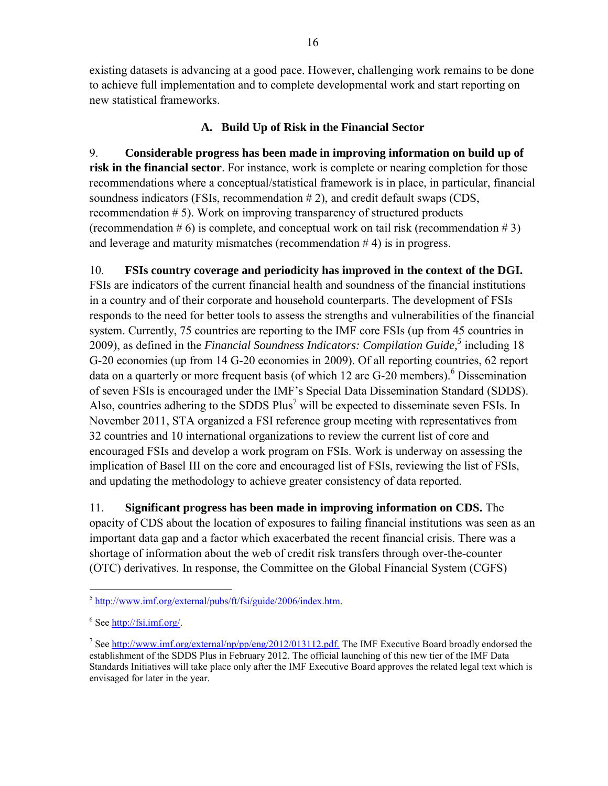existing datasets is advancing at a good pace. However, challenging work remains to be done to achieve full implementation and to complete developmental work and start reporting on new statistical frameworks.

## **A. Build Up of Risk in the Financial Sector**

9. **Considerable progress has been made in improving information on build up of risk in the financial sector**. For instance, work is complete or nearing completion for those recommendations where a conceptual/statistical framework is in place, in particular, financial soundness indicators (FSIs, recommendation # 2), and credit default swaps (CDS, recommendation # 5). Work on improving transparency of structured products (recommendation  $# 6$ ) is complete, and conceptual work on tail risk (recommendation  $# 3$ ) and leverage and maturity mismatches (recommendation # 4) is in progress.

## 10. **FSIs country coverage and periodicity has improved in the context of the DGI.**

FSIs are indicators of the current financial health and soundness of the financial institutions in a country and of their corporate and household counterparts. The development of FSIs responds to the need for better tools to assess the strengths and vulnerabilities of the financial system. Currently, 75 countries are reporting to the IMF core FSIs (up from 45 countries in 2009), as defined in the *Financial Soundness Indicators: Compilation Guide,<sup>5</sup>* including 18 G-20 economies (up from 14 G-20 economies in 2009). Of all reporting countries, 62 report data on a quarterly or more frequent basis (of which 12 are  $G$ -20 members).<sup>6</sup> Dissemination of seven FSIs is encouraged under the IMF's Special Data Dissemination Standard (SDDS). Also, countries adhering to the SDDS  $Plus<sup>7</sup>$  will be expected to disseminate seven FSIs. In November 2011, STA organized a FSI reference group meeting with representatives from 32 countries and 10 international organizations to review the current list of core and encouraged FSIs and develop a work program on FSIs. Work is underway on assessing the implication of Basel III on the core and encouraged list of FSIs, reviewing the list of FSIs, and updating the methodology to achieve greater consistency of data reported.

11. **Significant progress has been made in improving information on CDS.** The opacity of CDS about the location of exposures to failing financial institutions was seen as an important data gap and a factor which exacerbated the recent financial crisis. There was a shortage of information about the web of credit risk transfers through over-the-counter (OTC) derivatives. In response, the Committee on the Global Financial System (CGFS)

<sup>&</sup>lt;sup>5</sup> [http://www.imf.org/external/pubs/ft/fsi/guide/2006/index.htm.](http://www.imf.org/external/pubs/ft/fsi/guide/2006/index.htm)

<sup>&</sup>lt;sup>6</sup> Se[e http://fsi.imf.org/.](http://fsi.imf.org/)

<sup>&</sup>lt;sup>7</sup> Se[e http://www.imf.org/external/np/pp/eng/2012/013112.pdf.](http://www.imf.org/external/np/pp/eng/2012/013112.pdf.) The IMF Executive Board broadly endorsed the establishment of the SDDS Plus in February 2012. The official launching of this new tier of the IMF Data Standards Initiatives will take place only after the IMF Executive Board approves the related legal text which is envisaged for later in the year.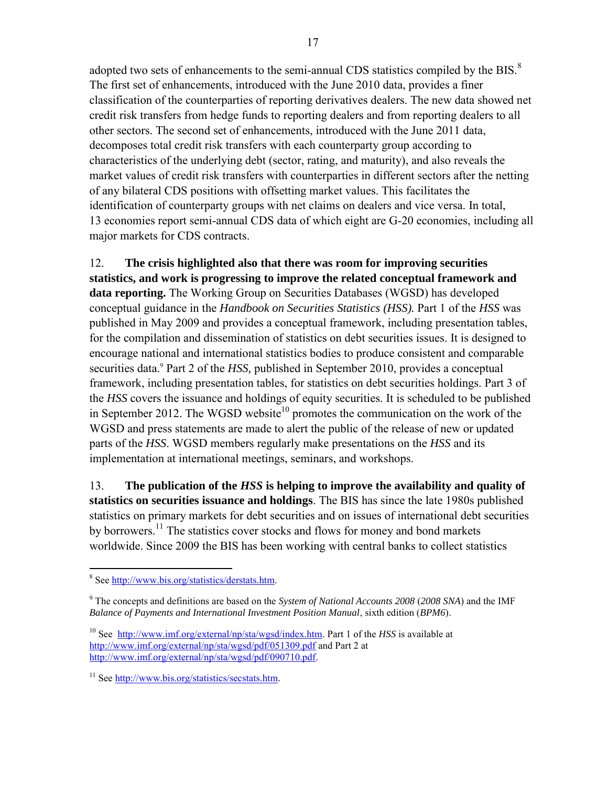adopted two sets of enhancements to the semi-annual CDS statistics compiled by the BIS. $8^8$ The first set of enhancements, introduced with the June 2010 data, provides a finer classification of the counterparties of reporting derivatives dealers. The new data showed net credit risk transfers from hedge funds to reporting dealers and from reporting dealers to all other sectors. The second set of enhancements, introduced with the June 2011 data, decomposes total credit risk transfers with each counterparty group according to characteristics of the underlying debt (sector, rating, and maturity), and also reveals the market values of credit risk transfers with counterparties in different sectors after the netting of any bilateral CDS positions with offsetting market values. This facilitates the identification of counterparty groups with net claims on dealers and vice versa. In total, 13 economies report semi-annual CDS data of which eight are G-20 economies, including all major markets for CDS contracts.

12. **The crisis highlighted also that there was room for improving securities statistics, and work is progressing to improve the related conceptual framework and data reporting.** The Working Group on Securities Databases (WGSD) has developed conceptual guidance in the *Handbook on Securities Statistics (HSS).* Part 1 of the *HSS* was published in May 2009 and provides a conceptual framework, including presentation tables, for the compilation and dissemination of statistics on debt securities issues. It is designed to encourage national and international statistics bodies to produce consistent and comparable securities data.<sup>9</sup> Part 2 of the *HSS*, published in September 2010, provides a conceptual framework, including presentation tables, for statistics on debt securities holdings. Part 3 of the *HSS* covers the issuance and holdings of equity securities. It is scheduled to be published in September 2012. The WGSD website<sup>10</sup> promotes the communication on the work of the WGSD and press statements are made to alert the public of the release of new or updated parts of the *HSS*. WGSD members regularly make presentations on the *HSS* and its implementation at international meetings, seminars, and workshops.

13. **The publication of the** *HSS* **is helping to improve the availability and quality of statistics on securities issuance and holdings**. The BIS has since the late 1980s published statistics on primary markets for debt securities and on issues of international debt securities by borrowers.<sup>11</sup> The statistics cover stocks and flows for money and bond markets worldwide. Since 2009 the BIS has been working with central banks to collect statistics

<sup>&</sup>lt;sup>8</sup> Se[e http://www.bis.org/statistics/derstats.htm.](http://www.bis.org/statistics/derstats.htm)

<sup>9</sup> The concepts and definitions are based on the *System of National Accounts 2008* (*2008 SNA*) and the IMF *Balance of Payments and International Investment Position Manual*, sixth edition (*BPM6*).

<sup>10</sup> See [http://www.imf.org/external/np/sta/wgsd/index.htm.](http://www.imf.org/external/np/sta/wgsd/index.htm) Part 1 of the *HSS* is available at <http://www.imf.org/external/np/sta/wgsd/pdf/051309.pdf>and Part 2 at [http://www.imf.org/external/np/sta/wgsd/pdf/090710.pdf.](http://www.imf.org/external/np/sta/wgsd/pdf/090710.pdf)

<sup>&</sup>lt;sup>11</sup> See [http://www.bis.org/statistics/secstats.htm.](http://www.bis.org/statistics/secstats.htm)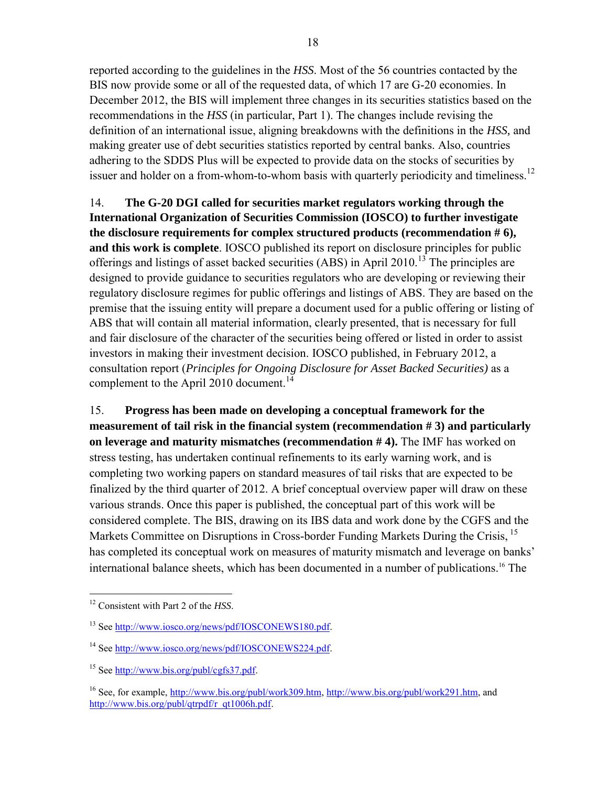reported according to the guidelines in the *HSS*. Most of the 56 countries contacted by the BIS now provide some or all of the requested data, of which 17 are G-20 economies. In December 2012, the BIS will implement three changes in its securities statistics based on the recommendations in the *HSS* (in particular, Part 1). The changes include revising the definition of an international issue, aligning breakdowns with the definitions in the *HSS,* and making greater use of debt securities statistics reported by central banks. Also, countries adhering to the SDDS Plus will be expected to provide data on the stocks of securities by issuer and holder on a from-whom-to-whom basis with quarterly periodicity and timeliness.<sup>12</sup>

14. **The G-20 DGI called for securities market regulators working through the International Organization of Securities Commission (IOSCO) to further investigate the disclosure requirements for complex structured products (recommendation # 6), and this work is complete**. IOSCO published its report on disclosure principles for public offerings and listings of asset backed securities (ABS) in April 2010.<sup>13</sup> The principles are designed to provide guidance to securities regulators who are developing or reviewing their regulatory disclosure regimes for public offerings and listings of ABS. They are based on the premise that the issuing entity will prepare a document used for a public offering or listing of ABS that will contain all material information, clearly presented, that is necessary for full and fair disclosure of the character of the securities being offered or listed in order to assist investors in making their investment decision. IOSCO published, in February 2012, a consultation report (*Principles for Ongoing Disclosure for Asset Backed Securities)* as a complement to the April 2010 document.<sup>14</sup>

15. **Progress has been made on developing a conceptual framework for the measurement of tail risk in the financial system (recommendation # 3) and particularly on leverage and maturity mismatches (recommendation # 4).** The IMF has worked on stress testing, has undertaken continual refinements to its early warning work, and is completing two working papers on standard measures of tail risks that are expected to be finalized by the third quarter of 2012. A brief conceptual overview paper will draw on these various strands. Once this paper is published, the conceptual part of this work will be considered complete. The BIS, drawing on its IBS data and work done by the CGFS and the Markets Committee on Disruptions in Cross-border Funding Markets During the Crisis, <sup>15</sup> has completed its conceptual work on measures of maturity mismatch and leverage on banks' international balance sheets, which has been documented in a number of publications.<sup>16</sup> The

 $\overline{a}$ <sup>12</sup> Consistent with Part 2 of the *HSS*.

<sup>13</sup> See [http://www.iosco.org/news/pdf/IOSCONEWS180.pdf.](http://www.iosco.org/news/pdf/IOSCONEWS180.pdf) 

<sup>&</sup>lt;sup>14</sup> See http://www.josco.org/news/pdf/IOSCONEWS224.pdf.

<sup>&</sup>lt;sup>15</sup> See http://www.bis.org/publ/cgfs37.pdf.

<sup>&</sup>lt;sup>16</sup> See, for example, [http://www.bis.org/publ/work309.htm,](http://www.bis.org/publ/work309.htm) [http://www.bis.org/publ/work291.htm,](http://www.bis.org/publ/work291.htm) and [http://www.bis.org/publ/qtrpdf/r\\_qt1006h.pdf.](http://www.bis.org/publ/qtrpdf/r_qt1006h.pdf)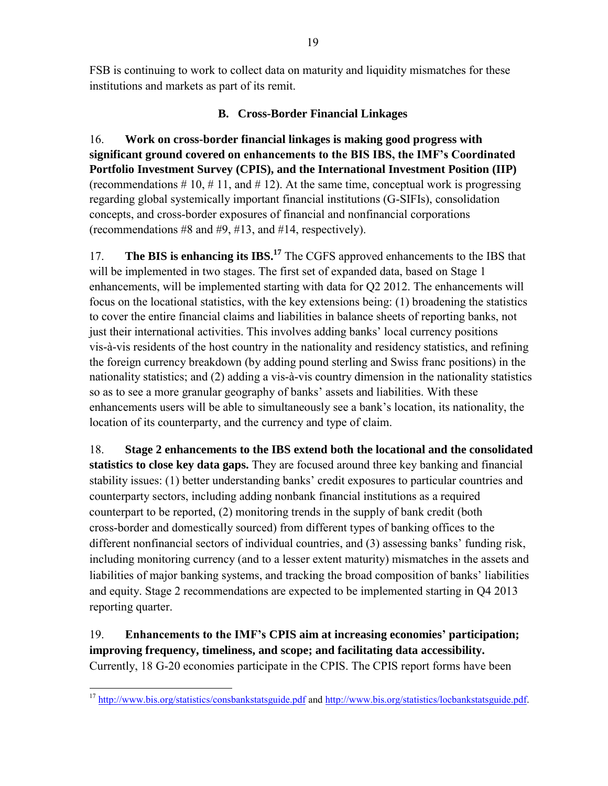FSB is continuing to work to collect data on maturity and liquidity mismatches for these institutions and markets as part of its remit.

### **B. Cross-Border Financial Linkages**

16. **Work on cross-border financial linkages is making good progress with significant ground covered on enhancements to the BIS IBS, the IMF's Coordinated Portfolio Investment Survey (CPIS), and the International Investment Position (IIP)**  (recommendations  $\# 10, \# 11$ , and  $\# 12$ ). At the same time, conceptual work is progressing regarding global systemically important financial institutions (G-SIFIs), consolidation concepts, and cross-border exposures of financial and nonfinancial corporations (recommendations #8 and #9, #13, and #14, respectively).

17. **The BIS is enhancing its IBS.<sup>17</sup>** The CGFS approved enhancements to the IBS that will be implemented in two stages. The first set of expanded data, based on Stage 1 enhancements, will be implemented starting with data for Q2 2012. The enhancements will focus on the locational statistics, with the key extensions being: (1) broadening the statistics to cover the entire financial claims and liabilities in balance sheets of reporting banks, not just their international activities. This involves adding banks' local currency positions vis-à-vis residents of the host country in the nationality and residency statistics, and refining the foreign currency breakdown (by adding pound sterling and Swiss franc positions) in the nationality statistics; and (2) adding a vis-à-vis country dimension in the nationality statistics so as to see a more granular geography of banks' assets and liabilities. With these enhancements users will be able to simultaneously see a bank's location, its nationality, the location of its counterparty, and the currency and type of claim.

18. **Stage 2 enhancements to the IBS extend both the locational and the consolidated statistics to close key data gaps.** They are focused around three key banking and financial stability issues: (1) better understanding banks' credit exposures to particular countries and counterparty sectors, including adding nonbank financial institutions as a required counterpart to be reported, (2) monitoring trends in the supply of bank credit (both cross-border and domestically sourced) from different types of banking offices to the different nonfinancial sectors of individual countries, and (3) assessing banks' funding risk, including monitoring currency (and to a lesser extent maturity) mismatches in the assets and liabilities of major banking systems, and tracking the broad composition of banks' liabilities and equity. Stage 2 recommendations are expected to be implemented starting in Q4 2013 reporting quarter.

19. **Enhancements to the IMF's CPIS aim at increasing economies' participation; improving frequency, timeliness, and scope; and facilitating data accessibility.** Currently, 18 G-20 economies participate in the CPIS. The CPIS report forms have been

 $\overline{a}$ <sup>17</sup> <http://www.bis.org/statistics/consbankstatsguide.pdf>an[d http://www.bis.org/statistics/locbankstatsguide.pdf.](http://www.bis.org/statistics/locbankstatsguide.pdf)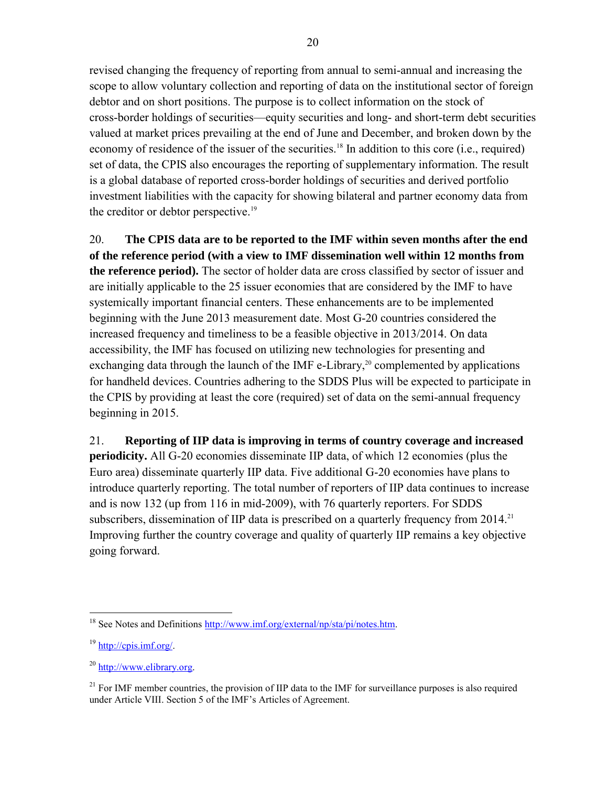revised changing the frequency of reporting from annual to semi-annual and increasing the scope to allow voluntary collection and reporting of data on the institutional sector of foreign debtor and on short positions. The purpose is to collect information on the stock of cross-border holdings of securities—equity securities and long- and short-term debt securities valued at market prices prevailing at the end of June and December, and broken down by the economy of residence of the issuer of the securities.<sup>18</sup> In addition to this core (i.e., required) set of data, the CPIS also encourages the reporting of supplementary information. The result is a global database of reported cross-border holdings of securities and derived portfolio investment liabilities with the capacity for showing bilateral and partner economy data from the creditor or debtor perspective.<sup>19</sup>

20. **The CPIS data are to be reported to the IMF within seven months after the end of the reference period (with a view to IMF dissemination well within 12 months from the reference period).** The sector of holder data are cross classified by sector of issuer and are initially applicable to the 25 issuer economies that are considered by the IMF to have systemically important financial centers. These enhancements are to be implemented beginning with the June 2013 measurement date. Most G-20 countries considered the increased frequency and timeliness to be a feasible objective in 2013/2014. On data accessibility, the IMF has focused on utilizing new technologies for presenting and exchanging data through the launch of the IMF e-Library,<sup>20</sup> complemented by applications for handheld devices. Countries adhering to the SDDS Plus will be expected to participate in the CPIS by providing at least the core (required) set of data on the semi-annual frequency beginning in 2015.

21. **Reporting of IIP data is improving in terms of country coverage and increased periodicity.** All G-20 economies disseminate IIP data, of which 12 economies (plus the Euro area) disseminate quarterly IIP data. Five additional G-20 economies have plans to introduce quarterly reporting. The total number of reporters of IIP data continues to increase and is now 132 (up from 116 in mid-2009), with 76 quarterly reporters. For SDDS subscribers, dissemination of IIP data is prescribed on a quarterly frequency from 2014.<sup>21</sup> Improving further the country coverage and quality of quarterly IIP remains a key objective going forward.

 $\overline{a}$ <sup>18</sup> See Notes and Definitions [http://www.imf.org/external/np/sta/pi/notes.htm.](http://www.imf.org/external/np/sta/pi/notes.htm)

 $19$  [http://cpis.imf.org/.](http://cpis.imf.org/)

<sup>20</sup> [http://www.elibrary.org.](http://www.elibrary.org/)

 $21$  For IMF member countries, the provision of IIP data to the IMF for surveillance purposes is also required under Article VIII. Section 5 of the IMF's Articles of Agreement.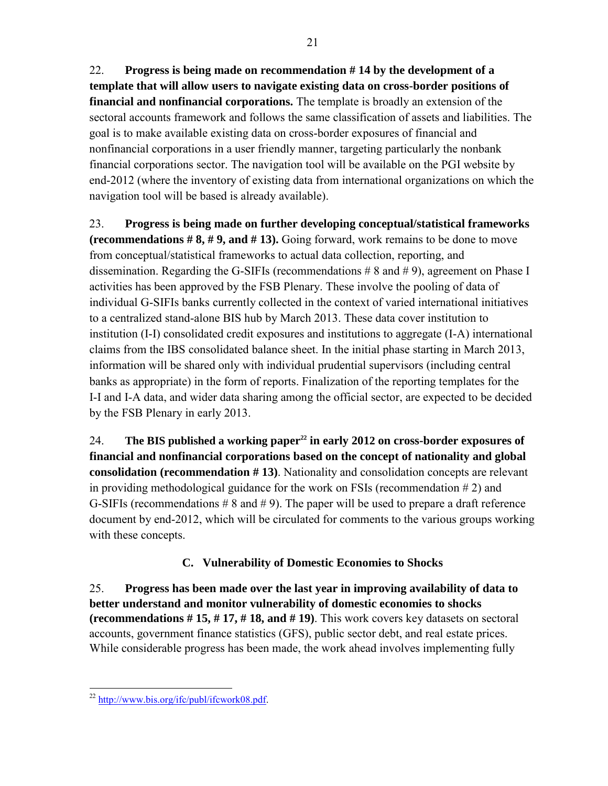22. **Progress is being made on recommendation # 14 by the development of a template that will allow users to navigate existing data on cross-border positions of financial and nonfinancial corporations.** The template is broadly an extension of the sectoral accounts framework and follows the same classification of assets and liabilities. The goal is to make available existing data on cross-border exposures of financial and nonfinancial corporations in a user friendly manner, targeting particularly the nonbank financial corporations sector. The navigation tool will be available on the PGI website by end-2012 (where the inventory of existing data from international organizations on which the navigation tool will be based is already available).

23. **Progress is being made on further developing conceptual/statistical frameworks (recommendations # 8, # 9, and # 13).** Going forward, work remains to be done to move from conceptual/statistical frameworks to actual data collection, reporting, and dissemination. Regarding the G-SIFIs (recommendations  $\# 8$  and  $\# 9$ ), agreement on Phase I activities has been approved by the FSB Plenary. These involve the pooling of data of individual G-SIFIs banks currently collected in the context of varied international initiatives to a centralized stand-alone BIS hub by March 2013. These data cover institution to institution (I-I) consolidated credit exposures and institutions to aggregate (I-A) international claims from the IBS consolidated balance sheet. In the initial phase starting in March 2013, information will be shared only with individual prudential supervisors (including central banks as appropriate) in the form of reports. Finalization of the reporting templates for the I-I and I-A data, and wider data sharing among the official sector, are expected to be decided by the FSB Plenary in early 2013.

24. **The BIS published a working paper<sup>22</sup> in early 2012 on cross-border exposures of financial and nonfinancial corporations based on the concept of nationality and global consolidation (recommendation # 13)**. Nationality and consolidation concepts are relevant in providing methodological guidance for the work on FSIs (recommendation  $\# 2$ ) and G-SIFIs (recommendations  $\# 8$  and  $\# 9$ ). The paper will be used to prepare a draft reference document by end-2012, which will be circulated for comments to the various groups working with these concepts.

# **C. Vulnerability of Domestic Economies to Shocks**

25. **Progress has been made over the last year in improving availability of data to better understand and monitor vulnerability of domestic economies to shocks (recommendations # 15, # 17, # 18, and # 19)**. This work covers key datasets on sectoral accounts, government finance statistics (GFS), public sector debt, and real estate prices. While considerable progress has been made, the work ahead involves implementing fully

 $\overline{a}$ <sup>22</sup> [http://www.bis.org/ifc/publ/ifcwork08.pdf.](http://www.bis.org/ifc/publ/ifcwork08.pdf)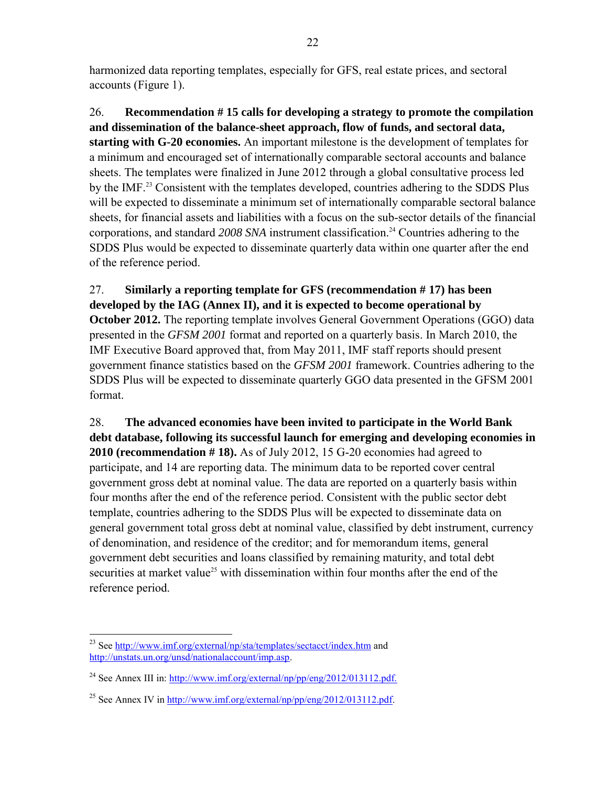harmonized data reporting templates, especially for GFS, real estate prices, and sectoral accounts (Figure 1).

26. **Recommendation # 15 calls for developing a strategy to promote the compilation and dissemination of the balance-sheet approach, flow of funds, and sectoral data, starting with G-20 economies.** An important milestone is the development of templates for a minimum and encouraged set of internationally comparable sectoral accounts and balance sheets. The templates were finalized in June 2012 through a global consultative process led by the IMF.<sup>23</sup> Consistent with the templates developed, countries adhering to the SDDS Plus will be expected to disseminate a minimum set of internationally comparable sectoral balance sheets, for financial assets and liabilities with a focus on the sub-sector details of the financial corporations, and standard 2008 SNA instrument classification.<sup>24</sup> Countries adhering to the SDDS Plus would be expected to disseminate quarterly data within one quarter after the end of the reference period.

27. **Similarly a reporting template for GFS (recommendation # 17) has been developed by the IAG (Annex II), and it is expected to become operational by October 2012.** The reporting template involves General Government Operations (GGO) data presented in the *GFSM 2001* format and reported on a quarterly basis. In March 2010, the IMF Executive Board approved that, from May 2011, IMF staff reports should present government finance statistics based on the *GFSM 2001* framework. Countries adhering to the SDDS Plus will be expected to disseminate quarterly GGO data presented in the GFSM 2001 format.

28. **The advanced economies have been invited to participate in the World Bank debt database, following its successful launch for emerging and developing economies in 2010 (recommendation # 18).** As of July 2012, 15 G-20 economies had agreed to participate, and 14 are reporting data. The minimum data to be reported cover central government gross debt at nominal value. The data are reported on a quarterly basis within four months after the end of the reference period. Consistent with the public sector debt template, countries adhering to the SDDS Plus will be expected to disseminate data on general government total gross debt at nominal value, classified by debt instrument, currency of denomination, and residence of the creditor; and for memorandum items, general government debt securities and loans classified by remaining maturity, and total debt securities at market value<sup>25</sup> with dissemination within four months after the end of the reference period.

 $\overline{a}$ 

<sup>&</sup>lt;sup>23</sup> See<http://www.imf.org/external/np/sta/templates/sectacct/index.htm>and [http://unstats.un.org/unsd/nationalaccount/imp.asp.](http://unstats.un.org/unsd/nationalaccount/imp.asp)

<sup>&</sup>lt;sup>24</sup> See Annex III in:<http://www.imf.org/external/np/pp/eng/2012/013112.pdf.>

<sup>&</sup>lt;sup>25</sup> See Annex IV in http://www.imf.org/external/np/pp/eng/2012/013112.pdf.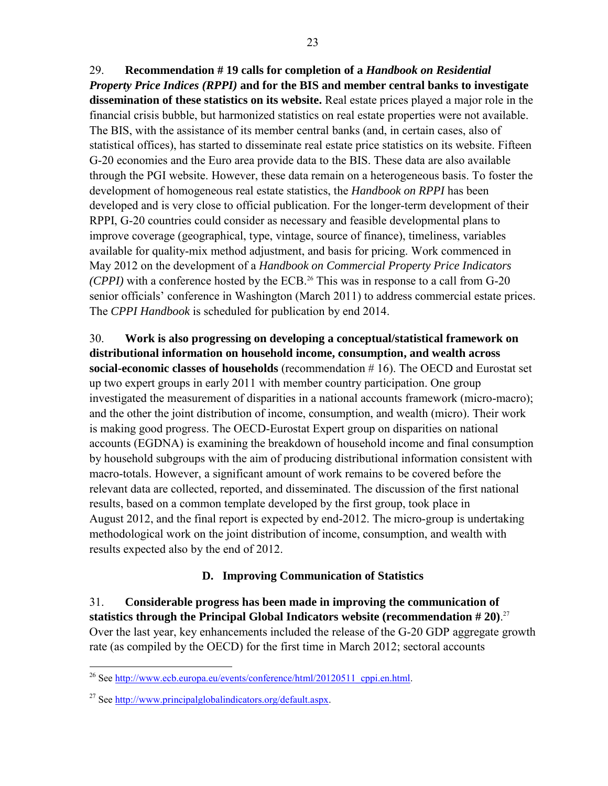29. **Recommendation # 19 calls for completion of a** *Handbook on Residential Property Price Indices (RPPI)* **and for the BIS and member central banks to investigate dissemination of these statistics on its website.** Real estate prices played a major role in the financial crisis bubble, but harmonized statistics on real estate properties were not available. The BIS, with the assistance of its member central banks (and, in certain cases, also of statistical offices), has started to disseminate real estate price statistics on its website. Fifteen G-20 economies and the Euro area provide data to the BIS. These data are also available through the PGI website. However, these data remain on a heterogeneous basis. To foster the development of homogeneous real estate statistics, the *Handbook on RPPI* has been developed and is very close to official publication. For the longer-term development of their RPPI, G-20 countries could consider as necessary and feasible developmental plans to improve coverage (geographical, type, vintage, source of finance), timeliness, variables available for quality-mix method adjustment, and basis for pricing. Work commenced in May 2012 on the development of a *Handbook on Commercial Property Price Indicators*   $(CPPI)$  with a conference hosted by the ECB.<sup>26</sup> This was in response to a call from G-20 senior officials' conference in Washington (March 2011) to address commercial estate prices. The *CPPI Handbook* is scheduled for publication by end 2014.

30. **Work is also progressing on developing a conceptual/statistical framework on distributional information on household income, consumption, and wealth across social-economic classes of households** (recommendation # 16). The OECD and Eurostat set up two expert groups in early 2011 with member country participation. One group investigated the measurement of disparities in a national accounts framework (micro-macro); and the other the joint distribution of income, consumption, and wealth (micro). Their work is making good progress. The OECD-Eurostat Expert group on disparities on national accounts (EGDNA) is examining the breakdown of household income and final consumption by household subgroups with the aim of producing distributional information consistent with macro-totals. However, a significant amount of work remains to be covered before the relevant data are collected, reported, and disseminated. The discussion of the first national results, based on a common template developed by the first group, took place in August 2012, and the final report is expected by end-2012. The micro-group is undertaking methodological work on the joint distribution of income, consumption, and wealth with results expected also by the end of 2012.

### **D. Improving Communication of Statistics**

31. **Considerable progress has been made in improving the communication of statistics through the Principal Global Indicators website (recommendation # 20)**. 27 Over the last year, key enhancements included the release of the G-20 GDP aggregate growth rate (as compiled by the OECD) for the first time in March 2012; sectoral accounts

 $\overline{a}$ <sup>26</sup> See <u>http://www.ecb.europa.eu/events/conference/html/20120511\_cppi.en.html</u>.

<sup>&</sup>lt;sup>27</sup> See [http://www.principalglobalindicators.org/default.aspx.](http://www.principalglobalindicators.org/default.aspx)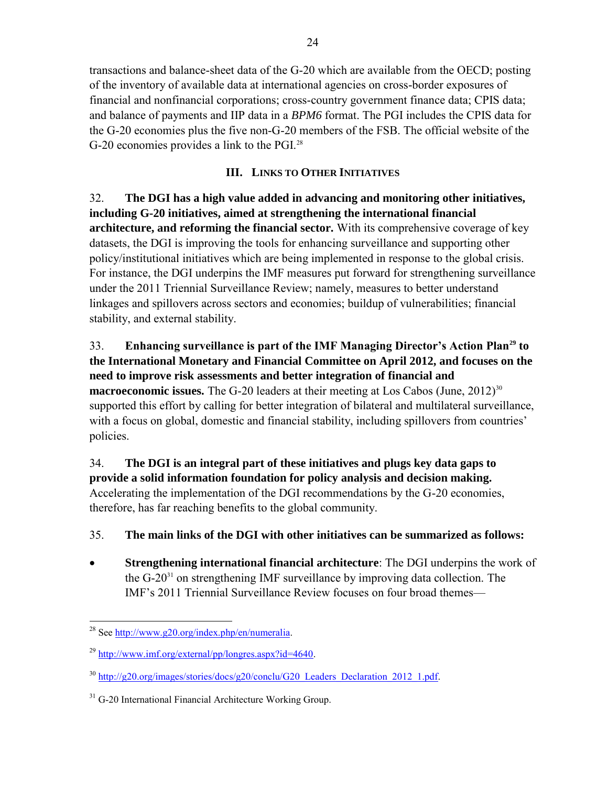transactions and balance-sheet data of the G-20 which are available from the OECD; posting of the inventory of available data at international agencies on cross-border exposures of financial and nonfinancial corporations; cross-country government finance data; CPIS data; and balance of payments and IIP data in a *BPM6* format. The PGI includes the CPIS data for the G-20 economies plus the five non-G-20 members of the FSB. The official website of the G-20 economies provides a link to the PGI.<sup>28</sup>

# **III. LINKS TO OTHER INITIATIVES**

32. **The DGI has a high value added in advancing and monitoring other initiatives, including G-20 initiatives, aimed at strengthening the international financial architecture, and reforming the financial sector.** With its comprehensive coverage of key datasets, the DGI is improving the tools for enhancing surveillance and supporting other policy/institutional initiatives which are being implemented in response to the global crisis. For instance, the DGI underpins the IMF measures put forward for strengthening surveillance under the 2011 Triennial Surveillance Review; namely, measures to better understand linkages and spillovers across sectors and economies; buildup of vulnerabilities; financial stability, and external stability.

33. **Enhancing surveillance is part of the IMF Managing Director's Action Plan<sup>29</sup> to the International Monetary and Financial Committee on April 2012, and focuses on the need to improve risk assessments and better integration of financial and macroeconomic issues.** The G-20 leaders at their meeting at Los Cabos (June, 2012)<sup>30</sup> supported this effort by calling for better integration of bilateral and multilateral surveillance, with a focus on global, domestic and financial stability, including spillovers from countries' policies.

34. **The DGI is an integral part of these initiatives and plugs key data gaps to provide a solid information foundation for policy analysis and decision making.** Accelerating the implementation of the DGI recommendations by the G-20 economies, therefore, has far reaching benefits to the global community.

# 35. **The main links of the DGI with other initiatives can be summarized as follows:**

 **Strengthening international financial architecture**: The DGI underpins the work of the  $G-20<sup>31</sup>$  on strengthening IMF surveillance by improving data collection. The IMF's 2011 Triennial Surveillance Review focuses on four broad themes—

 $\overline{a}$ <sup>28</sup> See http://www.g20.org/index.php/en/numeralia.

 $^{29}$  [http://www.imf.org/external/pp/longres.aspx?id=4640.](http://www.imf.org/external/pp/longres.aspx?id=4640)

<sup>&</sup>lt;sup>30</sup> http://g20.org/images/stories/docs/g20/conclu/G20 Leaders Declaration 2012 1.pdf.

<sup>&</sup>lt;sup>31</sup> G-20 International Financial Architecture Working Group.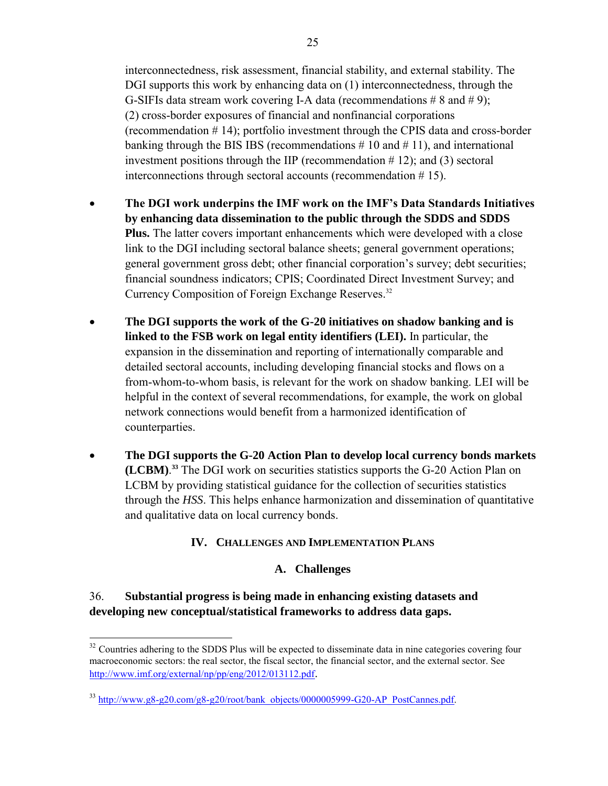interconnectedness, risk assessment, financial stability, and external stability. The DGI supports this work by enhancing data on (1) interconnectedness, through the G-SIFIs data stream work covering I-A data (recommendations  $\# 8$  and  $\# 9$ ); (2) cross-border exposures of financial and nonfinancial corporations (recommendation # 14); portfolio investment through the CPIS data and cross-border banking through the BIS IBS (recommendations  $\# 10$  and  $\# 11$ ), and international investment positions through the IIP (recommendation  $# 12$ ); and (3) sectoral interconnections through sectoral accounts (recommendation # 15).

- **The DGI work underpins the IMF work on the IMF's Data Standards Initiatives by enhancing data dissemination to the public through the SDDS and SDDS Plus.** The latter covers important enhancements which were developed with a close link to the DGI including sectoral balance sheets; general government operations; general government gross debt; other financial corporation's survey; debt securities; financial soundness indicators; CPIS; Coordinated Direct Investment Survey; and Currency Composition of Foreign Exchange Reserves.<sup>32</sup>
- **The DGI supports the work of the G-20 initiatives on shadow banking and is linked to the FSB work on legal entity identifiers (LEI).** In particular, the expansion in the dissemination and reporting of internationally comparable and detailed sectoral accounts, including developing financial stocks and flows on a from-whom-to-whom basis, is relevant for the work on shadow banking. LEI will be helpful in the context of several recommendations, for example, the work on global network connections would benefit from a harmonized identification of counterparties.
- **The DGI supports the G-20 Action Plan to develop local currency bonds markets (LCBM)**. **<sup>33</sup>** The DGI work on securities statistics supports the G-20 Action Plan on LCBM by providing statistical guidance for the collection of securities statistics through the *HSS*. This helps enhance harmonization and dissemination of quantitative and qualitative data on local currency bonds.

#### **IV. CHALLENGES AND IMPLEMENTATION PLANS**

### **A. Challenges**

## 36. **Substantial progress is being made in enhancing existing datasets and developing new conceptual/statistical frameworks to address data gaps.**

 $\overline{a}$  $32$  Countries adhering to the SDDS Plus will be expected to disseminate data in nine categories covering four macroeconomic sectors: the real sector, the fiscal sector, the financial sector, and the external sector. See <http://www.imf.org/external/np/pp/eng/2012/013112.pdf>.

 $33 \text{ http://www.g8-g20.com/g8-g20/root/bank}$  objects/0000005999-G20-AP\_PostCannes.pdf.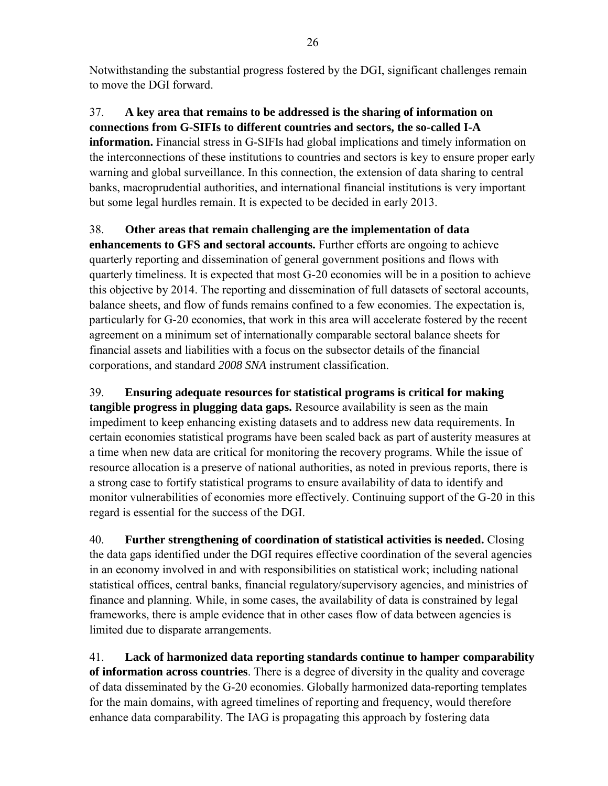Notwithstanding the substantial progress fostered by the DGI, significant challenges remain to move the DGI forward.

## 37. **A key area that remains to be addressed is the sharing of information on connections from G-SIFIs to different countries and sectors, the so-called I-A information.** Financial stress in G-SIFIs had global implications and timely information on the interconnections of these institutions to countries and sectors is key to ensure proper early warning and global surveillance. In this connection, the extension of data sharing to central banks, macroprudential authorities, and international financial institutions is very important but some legal hurdles remain. It is expected to be decided in early 2013.

# 38. **Other areas that remain challenging are the implementation of data**

**enhancements to GFS and sectoral accounts.** Further efforts are ongoing to achieve quarterly reporting and dissemination of general government positions and flows with quarterly timeliness. It is expected that most G-20 economies will be in a position to achieve this objective by 2014. The reporting and dissemination of full datasets of sectoral accounts, balance sheets, and flow of funds remains confined to a few economies. The expectation is, particularly for G-20 economies, that work in this area will accelerate fostered by the recent agreement on a minimum set of internationally comparable sectoral balance sheets for financial assets and liabilities with a focus on the subsector details of the financial corporations, and standard *2008 SNA* instrument classification.

39. **Ensuring adequate resources for statistical programs is critical for making tangible progress in plugging data gaps.** Resource availability is seen as the main impediment to keep enhancing existing datasets and to address new data requirements. In certain economies statistical programs have been scaled back as part of austerity measures at a time when new data are critical for monitoring the recovery programs. While the issue of resource allocation is a preserve of national authorities, as noted in previous reports, there is a strong case to fortify statistical programs to ensure availability of data to identify and monitor vulnerabilities of economies more effectively. Continuing support of the G-20 in this regard is essential for the success of the DGI.

40. **Further strengthening of coordination of statistical activities is needed.** Closing the data gaps identified under the DGI requires effective coordination of the several agencies in an economy involved in and with responsibilities on statistical work; including national statistical offices, central banks, financial regulatory/supervisory agencies, and ministries of finance and planning. While, in some cases, the availability of data is constrained by legal frameworks, there is ample evidence that in other cases flow of data between agencies is limited due to disparate arrangements.

41. **Lack of harmonized data reporting standards continue to hamper comparability of information across countries**. There is a degree of diversity in the quality and coverage of data disseminated by the G-20 economies. Globally harmonized data-reporting templates for the main domains, with agreed timelines of reporting and frequency, would therefore enhance data comparability. The IAG is propagating this approach by fostering data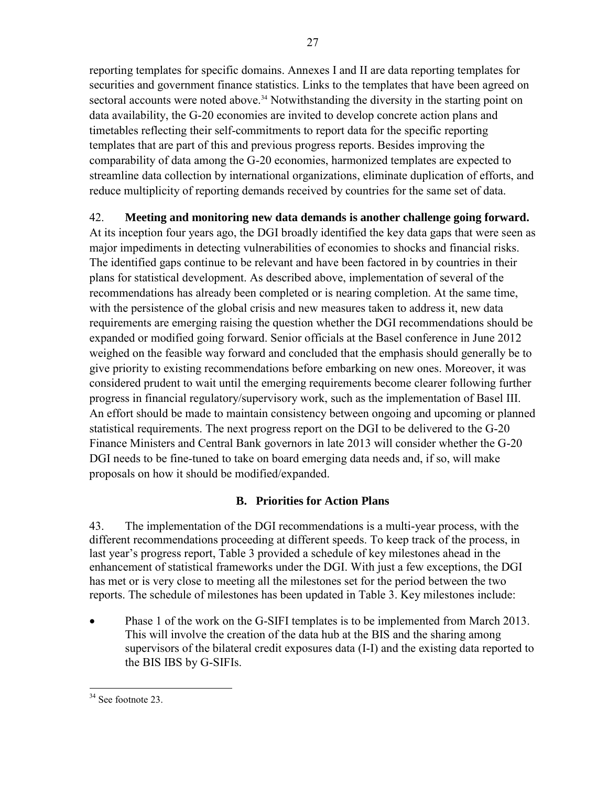reporting templates for specific domains. Annexes I and II are data reporting templates for securities and government finance statistics. Links to the templates that have been agreed on sectoral accounts were noted above.<sup>34</sup> Notwithstanding the diversity in the starting point on data availability, the G-20 economies are invited to develop concrete action plans and timetables reflecting their self-commitments to report data for the specific reporting templates that are part of this and previous progress reports. Besides improving the comparability of data among the G-20 economies, harmonized templates are expected to streamline data collection by international organizations, eliminate duplication of efforts, and reduce multiplicity of reporting demands received by countries for the same set of data.

42. **Meeting and monitoring new data demands is another challenge going forward.**

At its inception four years ago, the DGI broadly identified the key data gaps that were seen as major impediments in detecting vulnerabilities of economies to shocks and financial risks. The identified gaps continue to be relevant and have been factored in by countries in their plans for statistical development. As described above, implementation of several of the recommendations has already been completed or is nearing completion. At the same time, with the persistence of the global crisis and new measures taken to address it, new data requirements are emerging raising the question whether the DGI recommendations should be expanded or modified going forward. Senior officials at the Basel conference in June 2012 weighed on the feasible way forward and concluded that the emphasis should generally be to give priority to existing recommendations before embarking on new ones. Moreover, it was considered prudent to wait until the emerging requirements become clearer following further progress in financial regulatory/supervisory work, such as the implementation of Basel III. An effort should be made to maintain consistency between ongoing and upcoming or planned statistical requirements. The next progress report on the DGI to be delivered to the G-20 Finance Ministers and Central Bank governors in late 2013 will consider whether the G-20 DGI needs to be fine-tuned to take on board emerging data needs and, if so, will make proposals on how it should be modified/expanded.

### **B. Priorities for Action Plans**

43. The implementation of the DGI recommendations is a multi-year process, with the different recommendations proceeding at different speeds. To keep track of the process, in last year's progress report, Table 3 provided a schedule of key milestones ahead in the enhancement of statistical frameworks under the DGI. With just a few exceptions, the DGI has met or is very close to meeting all the milestones set for the period between the two reports. The schedule of milestones has been updated in Table 3. Key milestones include:

 Phase 1 of the work on the G-SIFI templates is to be implemented from March 2013. This will involve the creation of the data hub at the BIS and the sharing among supervisors of the bilateral credit exposures data (I-I) and the existing data reported to the BIS IBS by G-SIFIs.

 $\overline{a}$ <sup>34</sup> See footnote 23.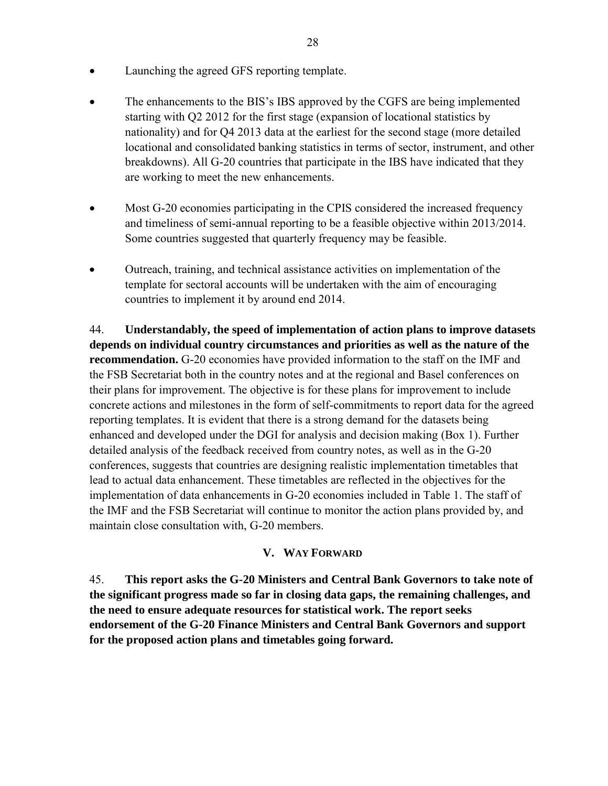- Launching the agreed GFS reporting template.
- The enhancements to the BIS's IBS approved by the CGFS are being implemented starting with Q2 2012 for the first stage (expansion of locational statistics by nationality) and for Q4 2013 data at the earliest for the second stage (more detailed locational and consolidated banking statistics in terms of sector, instrument, and other breakdowns). All G-20 countries that participate in the IBS have indicated that they are working to meet the new enhancements.
- Most G-20 economies participating in the CPIS considered the increased frequency and timeliness of semi-annual reporting to be a feasible objective within 2013/2014. Some countries suggested that quarterly frequency may be feasible.
- Outreach, training, and technical assistance activities on implementation of the template for sectoral accounts will be undertaken with the aim of encouraging countries to implement it by around end 2014.

44. **Understandably, the speed of implementation of action plans to improve datasets depends on individual country circumstances and priorities as well as the nature of the recommendation.** G-20 economies have provided information to the staff on the IMF and the FSB Secretariat both in the country notes and at the regional and Basel conferences on their plans for improvement. The objective is for these plans for improvement to include concrete actions and milestones in the form of self-commitments to report data for the agreed reporting templates. It is evident that there is a strong demand for the datasets being enhanced and developed under the DGI for analysis and decision making (Box 1). Further detailed analysis of the feedback received from country notes, as well as in the G-20 conferences, suggests that countries are designing realistic implementation timetables that lead to actual data enhancement. These timetables are reflected in the objectives for the implementation of data enhancements in G-20 economies included in Table 1. The staff of the IMF and the FSB Secretariat will continue to monitor the action plans provided by, and maintain close consultation with, G-20 members.

#### **V. WAY FORWARD**

45. **This report asks the G-20 Ministers and Central Bank Governors to take note of the significant progress made so far in closing data gaps, the remaining challenges, and the need to ensure adequate resources for statistical work. The report seeks endorsement of the G-20 Finance Ministers and Central Bank Governors and support for the proposed action plans and timetables going forward.**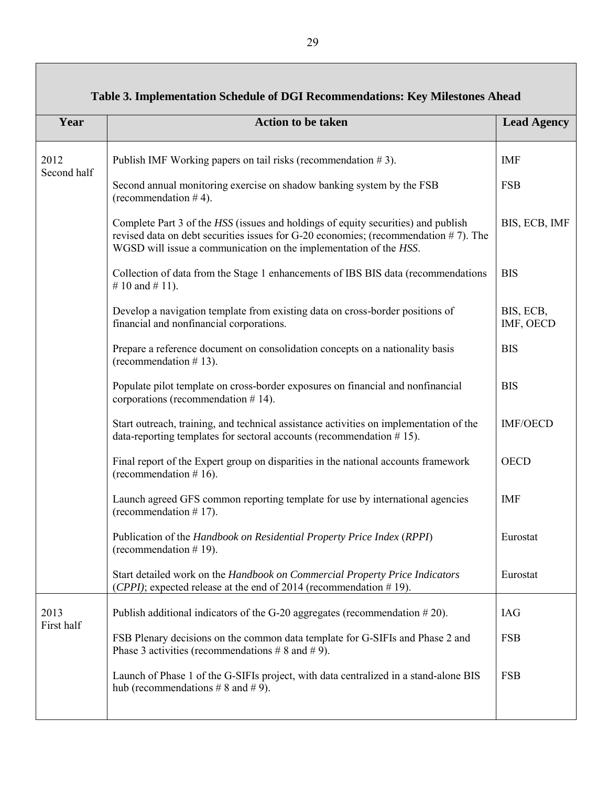|                     | Table 3. Implementation Schedule of DGI Recommendations: Key Milestones Ahead                                                                                                                                                                 |                        |  |  |
|---------------------|-----------------------------------------------------------------------------------------------------------------------------------------------------------------------------------------------------------------------------------------------|------------------------|--|--|
| Year                | <b>Action to be taken</b>                                                                                                                                                                                                                     | <b>Lead Agency</b>     |  |  |
| 2012<br>Second half | Publish IMF Working papers on tail risks (recommendation $# 3$ ).                                                                                                                                                                             | <b>IMF</b>             |  |  |
|                     | Second annual monitoring exercise on shadow banking system by the FSB<br>(recommendation $# 4$ ).                                                                                                                                             | <b>FSB</b>             |  |  |
|                     | Complete Part 3 of the HSS (issues and holdings of equity securities) and publish<br>revised data on debt securities issues for G-20 economies; (recommendation #7). The<br>WGSD will issue a communication on the implementation of the HSS. | BIS, ECB, IMF          |  |  |
|                     | Collection of data from the Stage 1 enhancements of IBS BIS data (recommendations<br># 10 and # 11).                                                                                                                                          | <b>BIS</b>             |  |  |
|                     | Develop a navigation template from existing data on cross-border positions of<br>financial and nonfinancial corporations.                                                                                                                     | BIS, ECB,<br>IMF, OECD |  |  |
|                     | Prepare a reference document on consolidation concepts on a nationality basis<br>(recommendation $# 13$ ).                                                                                                                                    | <b>BIS</b>             |  |  |
|                     | Populate pilot template on cross-border exposures on financial and nonfinancial<br>corporations (recommendation $# 14$ ).                                                                                                                     | <b>BIS</b>             |  |  |
|                     | Start outreach, training, and technical assistance activities on implementation of the<br>data-reporting templates for sectoral accounts (recommendation $# 15$ ).                                                                            | <b>IMF/OECD</b>        |  |  |
|                     | Final report of the Expert group on disparities in the national accounts framework<br>(recommendation $# 16$ ).                                                                                                                               | <b>OECD</b>            |  |  |
|                     | Launch agreed GFS common reporting template for use by international agencies<br>(recommendation $# 17$ ).                                                                                                                                    | <b>IMF</b>             |  |  |
|                     | Publication of the Handbook on Residential Property Price Index (RPPI)<br>(recommendation $# 19$ ).                                                                                                                                           | Eurostat               |  |  |
|                     | Start detailed work on the Handbook on Commercial Property Price Indicators<br>(CPPI); expected release at the end of 2014 (recommendation $# 19$ ).                                                                                          | Eurostat               |  |  |
| 2013                | Publish additional indicators of the G-20 aggregates (recommendation $#20$ ).                                                                                                                                                                 | <b>IAG</b>             |  |  |
| First half          | FSB Plenary decisions on the common data template for G-SIFIs and Phase 2 and<br>Phase 3 activities (recommendations $\# 8$ and $\# 9$ ).                                                                                                     | <b>FSB</b>             |  |  |
|                     | Launch of Phase 1 of the G-SIFIs project, with data centralized in a stand-alone BIS<br>hub (recommendations # $8$ and # 9).                                                                                                                  | <b>FSB</b>             |  |  |
|                     |                                                                                                                                                                                                                                               |                        |  |  |

29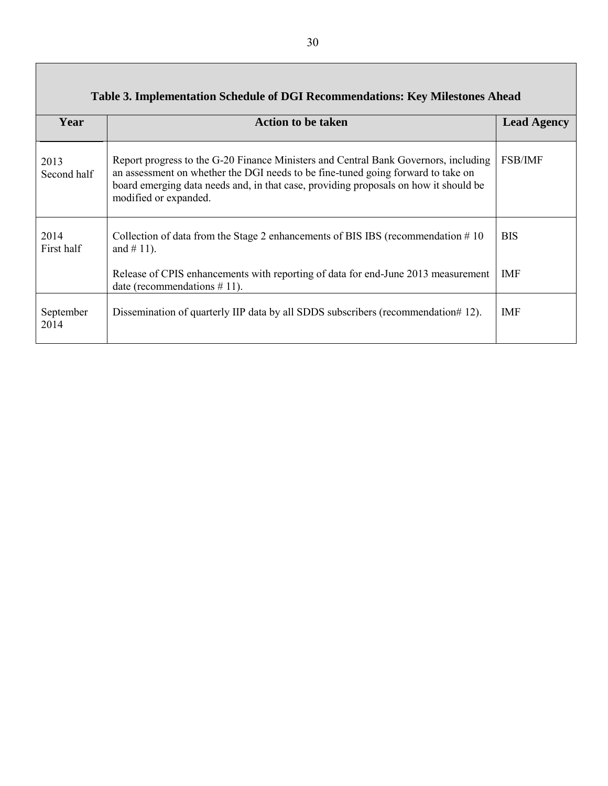|                                                                                                                            | Table 3. Implementation Schedule of DGI Recommendations: Key Milestones Ahead                                                                                                                                                                                                            |                    |  |  |
|----------------------------------------------------------------------------------------------------------------------------|------------------------------------------------------------------------------------------------------------------------------------------------------------------------------------------------------------------------------------------------------------------------------------------|--------------------|--|--|
| Year                                                                                                                       | <b>Action to be taken</b>                                                                                                                                                                                                                                                                | <b>Lead Agency</b> |  |  |
| 2013<br>Second half                                                                                                        | Report progress to the G-20 Finance Ministers and Central Bank Governors, including<br>an assessment on whether the DGI needs to be fine-tuned going forward to take on<br>board emerging data needs and, in that case, providing proposals on how it should be<br>modified or expanded. | <b>FSB/IMF</b>     |  |  |
| 2014<br>Collection of data from the Stage 2 enhancements of BIS IBS (recommendation $\# 10$<br>First half<br>and $# 11$ ). |                                                                                                                                                                                                                                                                                          | <b>BIS</b>         |  |  |
|                                                                                                                            | Release of CPIS enhancements with reporting of data for end-June 2013 measurement<br>date (recommendations $# 11$ ).                                                                                                                                                                     | IMF                |  |  |
| September<br>2014                                                                                                          | Dissemination of quarterly IIP data by all SDDS subscribers (recommendation#12).                                                                                                                                                                                                         | <b>IMF</b>         |  |  |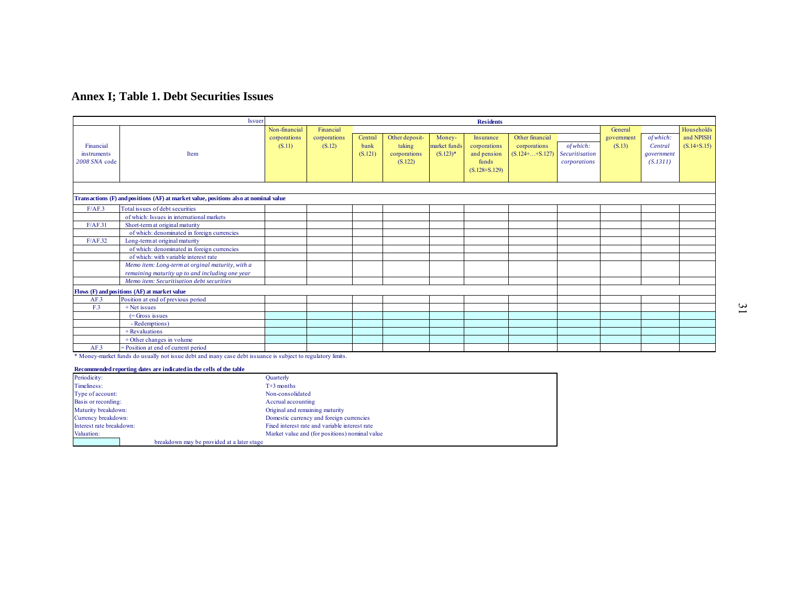#### **Annex I; Table 1. Debt Securities Issues**

|                    | Issuer                                                                                                       | <b>Residents</b> |              |         |                |              |                   |                  |                       |            |            |               |
|--------------------|--------------------------------------------------------------------------------------------------------------|------------------|--------------|---------|----------------|--------------|-------------------|------------------|-----------------------|------------|------------|---------------|
|                    |                                                                                                              | Non-financial    | Financial    |         |                |              |                   |                  |                       | General    |            | Households    |
|                    |                                                                                                              | corporations     | corporations | Central | Other deposit- | Money-       | Insurance         | Other financial  |                       | government | of which:  | and NPISH     |
| Financial          |                                                                                                              | (S.11)           | (S.12)       | bank    | taking         | market funds | corporations      | corporations     | of which:             | (S.13)     | Central    | $(S.14+S.15)$ |
| <i>instruments</i> | Item                                                                                                         |                  |              | (S.121) | corporations   | $(S.123)*$   | and pension       | $(S.124++S.127)$ | <b>Securitisation</b> |            | government |               |
| 2008 SNA code      |                                                                                                              |                  |              |         | (S.122)        |              | funds             |                  | corporations          |            | (S.1311)   |               |
|                    |                                                                                                              |                  |              |         |                |              | $(S.128 + S.129)$ |                  |                       |            |            |               |
|                    |                                                                                                              |                  |              |         |                |              |                   |                  |                       |            |            |               |
|                    |                                                                                                              |                  |              |         |                |              |                   |                  |                       |            |            |               |
|                    | Transactions (F) and positions (AF) at market value, positions also at nominal value                         |                  |              |         |                |              |                   |                  |                       |            |            |               |
| F/AF.3             | Total issues of debt securities                                                                              |                  |              |         |                |              |                   |                  |                       |            |            |               |
|                    | of which: Issues in international markets                                                                    |                  |              |         |                |              |                   |                  |                       |            |            |               |
| F/AF.31            | Short-term at original maturity                                                                              |                  |              |         |                |              |                   |                  |                       |            |            |               |
|                    | of which: denominated in foreign currencies                                                                  |                  |              |         |                |              |                   |                  |                       |            |            |               |
| F/AF.32            | Long-term at original maturity                                                                               |                  |              |         |                |              |                   |                  |                       |            |            |               |
|                    | of which: denominated in foreign currencies                                                                  |                  |              |         |                |              |                   |                  |                       |            |            |               |
|                    | of which: with variable interest rate                                                                        |                  |              |         |                |              |                   |                  |                       |            |            |               |
|                    | Memo item: Long-term at orginal maturity, with a                                                             |                  |              |         |                |              |                   |                  |                       |            |            |               |
|                    | remaining maturity up to and including one year                                                              |                  |              |         |                |              |                   |                  |                       |            |            |               |
|                    | Memo item: Securitisation debt securities                                                                    |                  |              |         |                |              |                   |                  |                       |            |            |               |
|                    | Flows (F) and positions (AF) at market value                                                                 |                  |              |         |                |              |                   |                  |                       |            |            |               |
| AF.3               | Position at end of previous period                                                                           |                  |              |         |                |              |                   |                  |                       |            |            |               |
| F.3                | $+$ Net issues                                                                                               |                  |              |         |                |              |                   |                  |                       |            |            |               |
|                    | $( = Gross$ issues                                                                                           |                  |              |         |                |              |                   |                  |                       |            |            |               |
|                    | - Redemptions)                                                                                               |                  |              |         |                |              |                   |                  |                       |            |            |               |
|                    | + Revaluations                                                                                               |                  |              |         |                |              |                   |                  |                       |            |            |               |
|                    | + Other changes in volume                                                                                    |                  |              |         |                |              |                   |                  |                       |            |            |               |
| AF.3               | $=$ Position at end of current period                                                                        |                  |              |         |                |              |                   |                  |                       |            |            |               |
|                    | * Money-market funds do usually not issue debt and inany case debt issuance is subject to regulatory limits. |                  |              |         |                |              |                   |                  |                       |            |            |               |
|                    | <b>Decommended reporting dates are indicated in the cells of the table</b>                                   |                  |              |         |                |              |                   |                  |                       |            |            |               |

**Recommended reporting dates are indicated in the cells of the table**

| Periodicity:             |                                            | Quarterly                                      |
|--------------------------|--------------------------------------------|------------------------------------------------|
| Timeliness:              |                                            | $T+3$ months                                   |
| Type of account:         |                                            | Non-consolidated                               |
| Basis or recording:      |                                            | Accrual accounting                             |
| Maturity breakdown:      |                                            | Original and remaining maturity                |
| Currency breakdown:      |                                            | Domestic currency and foreign currencies       |
| Interest rate breakdown: |                                            | Fixed interest rate and variable interest rate |
| Valuation:               |                                            | Market value and (for positions) nominal value |
|                          | breakdown may be provided at a later stage |                                                |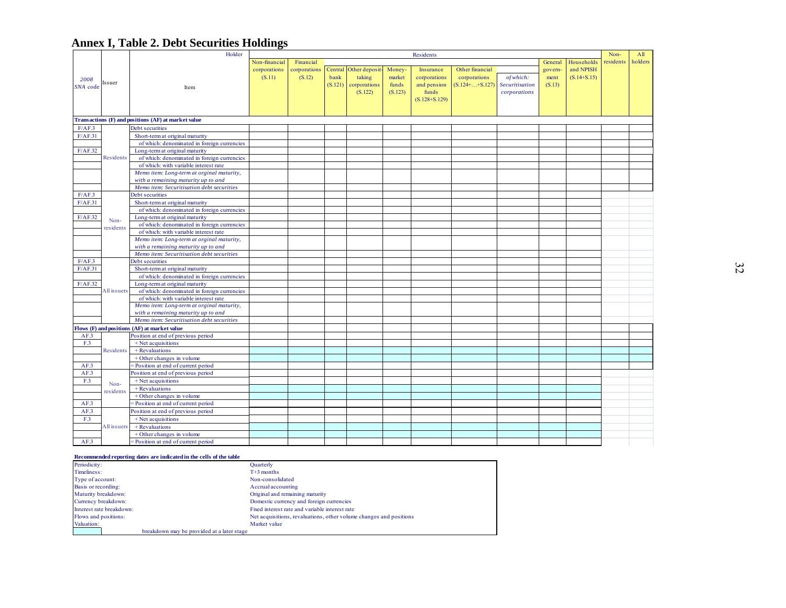# **Annex I, Table 2. Debt Securities Holdings**

|          |             | Holder                                                                             | Residents     |              |      |                       |         | Non-              | All                  |                |         |                 |           |         |
|----------|-------------|------------------------------------------------------------------------------------|---------------|--------------|------|-----------------------|---------|-------------------|----------------------|----------------|---------|-----------------|-----------|---------|
|          |             |                                                                                    | Non-financial | Financial    |      |                       |         |                   |                      |                | General | Households      | residents | holders |
|          |             |                                                                                    | corporations  | corporations |      | Central Other deposit | Money-  | Insurance         | Other financial      |                | govern- | and NPISH       |           |         |
| 2008     |             |                                                                                    | (S.11)        | (S.12)       | bank | taking                | market  | corporations      | corporations         | of which:      | ment    | $(S.14 + S.15)$ |           |         |
| SNA code | Issuer      |                                                                                    |               |              |      | (S.121) corporations  | funds   | and pension       | $(S.124 +  + S.127)$ | Securitisation | (S.13)  |                 |           |         |
|          |             | Item                                                                               |               |              |      | (S.122)               | (S.123) | funds             |                      | corporations   |         |                 |           |         |
|          |             |                                                                                    |               |              |      |                       |         | $(S.128 + S.129)$ |                      |                |         |                 |           |         |
|          |             |                                                                                    |               |              |      |                       |         |                   |                      |                |         |                 |           |         |
|          |             |                                                                                    |               |              |      |                       |         |                   |                      |                |         |                 |           |         |
|          |             | Transactions (F) and positions (AF) at market value                                |               |              |      |                       |         |                   |                      |                |         |                 |           |         |
| F/AF.3   |             | Debt securities                                                                    |               |              |      |                       |         |                   |                      |                |         |                 |           |         |
| F/AF.31  |             | Short-term at original maturity                                                    |               |              |      |                       |         |                   |                      |                |         |                 |           |         |
|          |             | of which: denominated in foreign currencies                                        |               |              |      |                       |         |                   |                      |                |         |                 |           |         |
| F/AF.32  |             | Long-term at original maturity                                                     |               |              |      |                       |         |                   |                      |                |         |                 |           |         |
|          | Residents   | of which: denominated in foreign currencies                                        |               |              |      |                       |         |                   |                      |                |         |                 |           |         |
|          |             | of which: with variable interest rate                                              |               |              |      |                       |         |                   |                      |                |         |                 |           |         |
|          |             | Memo item: Long-term at orginal maturity,                                          |               |              |      |                       |         |                   |                      |                |         |                 |           |         |
|          |             | with a remaining maturity up to and                                                |               |              |      |                       |         |                   |                      |                |         |                 |           |         |
|          |             | Memo item: Securitisation debt securities                                          |               |              |      |                       |         |                   |                      |                |         |                 |           |         |
| F/AF.3   |             | Debt securities                                                                    |               |              |      |                       |         |                   |                      |                |         |                 |           |         |
| F/AF.31  |             | Short-term at original maturity                                                    |               |              |      |                       |         |                   |                      |                |         |                 |           |         |
|          |             | of which: denominated in foreign currencies                                        |               |              |      |                       |         |                   |                      |                |         |                 |           |         |
| F/AF.32  | Non-        | Long-term at original maturity                                                     |               |              |      |                       |         |                   |                      |                |         |                 |           |         |
|          | residents   | of which: denominated in foreign currencies                                        |               |              |      |                       |         |                   |                      |                |         |                 |           |         |
|          |             | of which: with variable interest rate                                              |               |              |      |                       |         |                   |                      |                |         |                 |           |         |
|          |             | Memo item: Long-term at orginal maturity,                                          |               |              |      |                       |         |                   |                      |                |         |                 |           |         |
|          |             | with a remaining maturity up to and                                                |               |              |      |                       |         |                   |                      |                |         |                 |           |         |
|          |             | Memo item: Securitisation debt securities                                          |               |              |      |                       |         |                   |                      |                |         |                 |           |         |
| F/AF.3   |             | Debt securities                                                                    |               |              |      |                       |         |                   |                      |                |         |                 |           |         |
| F/AF.31  |             | Short-term at original maturity                                                    |               |              |      |                       |         |                   |                      |                |         |                 |           |         |
|          |             | of which: denominated in foreign currencies                                        |               |              |      |                       |         |                   |                      |                |         |                 |           |         |
| F/AF.32  |             | Long-term at original maturity                                                     |               |              |      |                       |         |                   |                      |                |         |                 |           |         |
|          | All issuers | of which: denominated in foreign currencies                                        |               |              |      |                       |         |                   |                      |                |         |                 |           |         |
|          |             | of which: with variable interest rate<br>Memo item: Long-term at orginal maturity, |               |              |      |                       |         |                   |                      |                |         |                 |           |         |
|          |             | with a remaining maturity up to and                                                |               |              |      |                       |         |                   |                      |                |         |                 |           |         |
|          |             | Memo item: Securitisation debt securities                                          |               |              |      |                       |         |                   |                      |                |         |                 |           |         |
|          |             | Flows (F) and positions (AF) at market value                                       |               |              |      |                       |         |                   |                      |                |         |                 |           |         |
| AF.3     |             | Position at end of previous period                                                 |               |              |      |                       |         |                   |                      |                |         |                 |           |         |
| F.3      |             | + Net acquisitions                                                                 |               |              |      |                       |         |                   |                      |                |         |                 |           |         |
|          | Residents   | + Revaluations                                                                     |               |              |      |                       |         |                   |                      |                |         |                 |           |         |
|          |             | + Other changes in volume                                                          |               |              |      |                       |         |                   |                      |                |         |                 |           |         |
| AF.3     |             | Position at end of current period                                                  |               |              |      |                       |         |                   |                      |                |         |                 |           |         |
| AF.3     |             | Position at end of previous period                                                 |               |              |      |                       |         |                   |                      |                |         |                 |           |         |
| F.3      |             | + Net acquisitions                                                                 |               |              |      |                       |         |                   |                      |                |         |                 |           |         |
|          | Non-        | + Revaluations                                                                     |               |              |      |                       |         |                   |                      |                |         |                 |           |         |
|          | residents   | + Other changes in volume                                                          |               |              |      |                       |         |                   |                      |                |         |                 |           |         |
| AF.3     |             | Position at end of current period                                                  |               |              |      |                       |         |                   |                      |                |         |                 |           |         |
|          |             |                                                                                    |               |              |      |                       |         |                   |                      |                |         |                 |           |         |
| AF.3     |             | Position at end of previous period                                                 |               |              |      |                       |         |                   |                      |                |         |                 |           |         |
| F.3      |             | + Net acquisitions                                                                 |               |              |      |                       |         |                   |                      |                |         |                 |           |         |
|          | All issuers | + Revaluations                                                                     |               |              |      |                       |         |                   |                      |                |         |                 |           |         |
|          |             | + Other changes in volume                                                          |               |              |      |                       |         |                   |                      |                |         |                 |           |         |
| AF.3     |             | Position at end of current period                                                  |               |              |      |                       |         |                   |                      |                |         |                 |           |         |

#### **Recommended reporting dates are indicated in the cells of the table**

| Periodicity:                               | Quarterly                                                          |
|--------------------------------------------|--------------------------------------------------------------------|
| Timeliness:                                | $T+3$ months                                                       |
| Type of account:                           | Non-consolidated                                                   |
| Basis or recording:                        | Accrual accounting                                                 |
| Maturity breakdown:                        | Original and remaining maturity                                    |
| Currency breakdown:                        | Domestic currency and foreign currencies                           |
| Interest rate breakdown:                   | Fixed interest rate and variable interest rate                     |
| Flows and positions:                       | Net acquisitions, revaluations, other volume changes and positions |
| Valuation:                                 | Market value                                                       |
| breakdown may be provided at a later stage |                                                                    |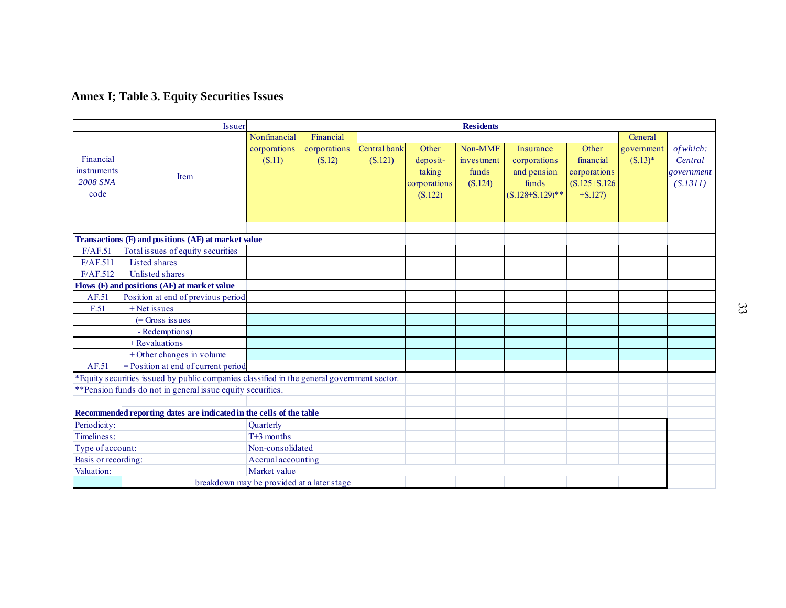# **Annex I; Table 3. Equity Securities Issues**

|                                                     | Issuer                                                                                     | <b>Residents</b>       |                        |                         |                                                        |                                           |                                                                           |                                                                     |                         |                                                |
|-----------------------------------------------------|--------------------------------------------------------------------------------------------|------------------------|------------------------|-------------------------|--------------------------------------------------------|-------------------------------------------|---------------------------------------------------------------------------|---------------------------------------------------------------------|-------------------------|------------------------------------------------|
| Nonfinancial<br>Financial                           |                                                                                            |                        |                        |                         |                                                        |                                           | General                                                                   |                                                                     |                         |                                                |
| Financial<br>instruments<br><b>2008 SNA</b><br>code | Item                                                                                       | corporations<br>(S.11) | corporations<br>(S.12) | Central bank<br>(S.121) | Other<br>deposit-<br>taking<br>corporations<br>(S.122) | Non-MMF<br>investment<br>funds<br>(S.124) | Insurance<br>corporations<br>and pension<br>funds<br>$(S.128 + S.129)$ ** | Other<br>financial<br>corporations<br>$(S.125 + S.126)$<br>$+S.127$ | government<br>$(S.13)*$ | of which:<br>Central<br>government<br>(S.1311) |
|                                                     | Transactions (F) and positions (AF) at market value                                        |                        |                        |                         |                                                        |                                           |                                                                           |                                                                     |                         |                                                |
| F/AF.51                                             | Total issues of equity securities                                                          |                        |                        |                         |                                                        |                                           |                                                                           |                                                                     |                         |                                                |
| F/AF.511                                            | Listed shares                                                                              |                        |                        |                         |                                                        |                                           |                                                                           |                                                                     |                         |                                                |
| F/AF.512                                            | Unlisted shares                                                                            |                        |                        |                         |                                                        |                                           |                                                                           |                                                                     |                         |                                                |
|                                                     | Flows (F) and positions (AF) at market value                                               |                        |                        |                         |                                                        |                                           |                                                                           |                                                                     |                         |                                                |
| AF.51                                               | Position at end of previous period                                                         |                        |                        |                         |                                                        |                                           |                                                                           |                                                                     |                         |                                                |
| F.51                                                | $+$ Net issues                                                                             |                        |                        |                         |                                                        |                                           |                                                                           |                                                                     |                         |                                                |
|                                                     | $( = Gross$ issues                                                                         |                        |                        |                         |                                                        |                                           |                                                                           |                                                                     |                         |                                                |
|                                                     | - Redemptions)                                                                             |                        |                        |                         |                                                        |                                           |                                                                           |                                                                     |                         |                                                |
|                                                     | $+$ Revaluations                                                                           |                        |                        |                         |                                                        |                                           |                                                                           |                                                                     |                         |                                                |
|                                                     | + Other changes in volume                                                                  |                        |                        |                         |                                                        |                                           |                                                                           |                                                                     |                         |                                                |
| AF.51                                               | = Position at end of current period                                                        |                        |                        |                         |                                                        |                                           |                                                                           |                                                                     |                         |                                                |
|                                                     | *Equity securities issued by public companies classified in the general government sector. |                        |                        |                         |                                                        |                                           |                                                                           |                                                                     |                         |                                                |
|                                                     | ** Pension funds do not in general issue equity securities.                                |                        |                        |                         |                                                        |                                           |                                                                           |                                                                     |                         |                                                |
|                                                     | Recommended reporting dates are indicated in the cells of the table                        |                        |                        |                         |                                                        |                                           |                                                                           |                                                                     |                         |                                                |
| Periodicity:                                        |                                                                                            | Quarterly              |                        |                         |                                                        |                                           |                                                                           |                                                                     |                         |                                                |
| Timeliness:                                         |                                                                                            | $T+3$ months           |                        |                         |                                                        |                                           |                                                                           |                                                                     |                         |                                                |
| Type of account:                                    |                                                                                            | Non-consolidated       |                        |                         |                                                        |                                           |                                                                           |                                                                     |                         |                                                |
| Basis or recording:                                 |                                                                                            | Accrual accounting     |                        |                         |                                                        |                                           |                                                                           |                                                                     |                         |                                                |
| Valuation:                                          |                                                                                            | Market value           |                        |                         |                                                        |                                           |                                                                           |                                                                     |                         |                                                |
|                                                     | breakdown may be provided at a later stage                                                 |                        |                        |                         |                                                        |                                           |                                                                           |                                                                     |                         |                                                |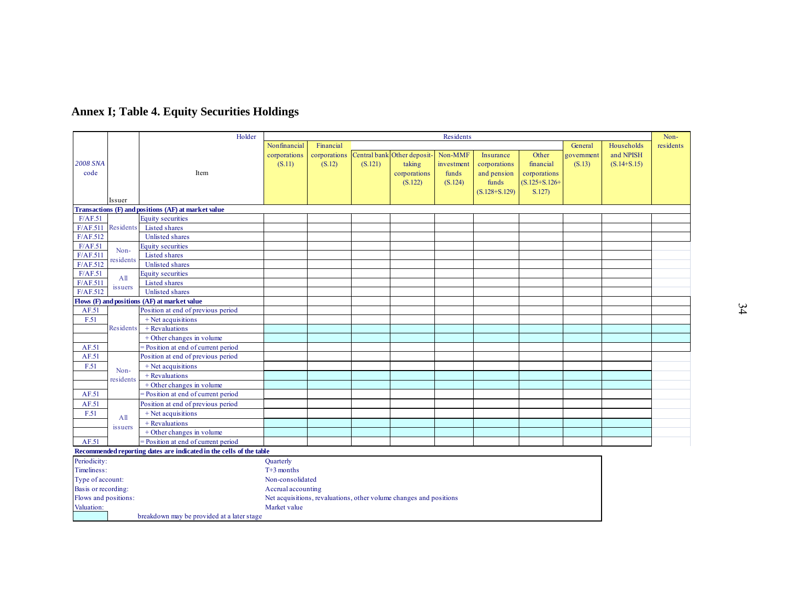|                                                     |                   | Holder                                                              | Residents                                                          |                      |         |                             |            |                   | Non-               |            |                 |  |
|-----------------------------------------------------|-------------------|---------------------------------------------------------------------|--------------------------------------------------------------------|----------------------|---------|-----------------------------|------------|-------------------|--------------------|------------|-----------------|--|
|                                                     |                   |                                                                     | Nonfinancial                                                       | Financial<br>General |         |                             |            |                   |                    | Households | residents       |  |
|                                                     |                   |                                                                     | corporations                                                       | corporations         |         | Central bank Other deposit- | Non-MMF    | Insurance         | Other              | government | and NPISH       |  |
| <b>2008 SNA</b>                                     |                   |                                                                     | (S.11)                                                             | (S.12)               | (S.121) | taking                      | investment | corporations      | financial          | (S.13)     | $(S.14 + S.15)$ |  |
| code                                                |                   | Item                                                                |                                                                    |                      |         | corporations                | funds      | and pension       | corporations       |            |                 |  |
|                                                     |                   |                                                                     |                                                                    |                      |         | (S.122)                     | (S.124)    | funds             | $(S.125 + S.126 +$ |            |                 |  |
|                                                     |                   |                                                                     |                                                                    |                      |         |                             |            | $(S.128 + S.129)$ | S.127              |            |                 |  |
|                                                     | Issuer            |                                                                     |                                                                    |                      |         |                             |            |                   |                    |            |                 |  |
| Transactions (F) and positions (AF) at market value |                   |                                                                     |                                                                    |                      |         |                             |            |                   |                    |            |                 |  |
| F/AF.51                                             |                   | <b>Equity securities</b>                                            |                                                                    |                      |         |                             |            |                   |                    |            |                 |  |
| F/AF.511                                            | Residents         | Listed shares                                                       |                                                                    |                      |         |                             |            |                   |                    |            |                 |  |
| F/AF.512                                            |                   | Unlisted shares                                                     |                                                                    |                      |         |                             |            |                   |                    |            |                 |  |
| F/AF.51                                             | Non-              | <b>Equity securities</b>                                            |                                                                    |                      |         |                             |            |                   |                    |            |                 |  |
| F/AF.511                                            | residents         | Listed shares                                                       |                                                                    |                      |         |                             |            |                   |                    |            |                 |  |
| F/AF.512                                            |                   | Unlisted shares                                                     |                                                                    |                      |         |                             |            |                   |                    |            |                 |  |
| F/AF.51                                             | All               | <b>Equity securities</b>                                            |                                                                    |                      |         |                             |            |                   |                    |            |                 |  |
| F/AF.511                                            | <i>issuers</i>    | Listed shares                                                       |                                                                    |                      |         |                             |            |                   |                    |            |                 |  |
| F/AF.512                                            |                   | Unlisted shares                                                     |                                                                    |                      |         |                             |            |                   |                    |            |                 |  |
| Flows (F) and positions (AF) at market value        |                   |                                                                     |                                                                    |                      |         |                             |            |                   |                    |            |                 |  |
| AF.51                                               |                   | Position at end of previous period                                  |                                                                    |                      |         |                             |            |                   |                    |            |                 |  |
| F.51                                                |                   | $+$ Net acquisitions                                                |                                                                    |                      |         |                             |            |                   |                    |            |                 |  |
|                                                     | Residents         | + Revaluations                                                      |                                                                    |                      |         |                             |            |                   |                    |            |                 |  |
|                                                     |                   | + Other changes in volume                                           |                                                                    |                      |         |                             |            |                   |                    |            |                 |  |
| AF.51                                               |                   | = Position at end of current period                                 |                                                                    |                      |         |                             |            |                   |                    |            |                 |  |
| AF.51                                               |                   | Position at end of previous period                                  |                                                                    |                      |         |                             |            |                   |                    |            |                 |  |
| F.51                                                |                   | $+$ Net acquisitions                                                |                                                                    |                      |         |                             |            |                   |                    |            |                 |  |
|                                                     | Non-<br>residents | + Revaluations                                                      |                                                                    |                      |         |                             |            |                   |                    |            |                 |  |
|                                                     |                   | + Other changes in volume                                           |                                                                    |                      |         |                             |            |                   |                    |            |                 |  |
| AF.51                                               |                   | = Position at end of current period                                 |                                                                    |                      |         |                             |            |                   |                    |            |                 |  |
| AF.51                                               |                   | Position at end of previous period                                  |                                                                    |                      |         |                             |            |                   |                    |            |                 |  |
| F.51                                                |                   | + Net acquisitions                                                  |                                                                    |                      |         |                             |            |                   |                    |            |                 |  |
|                                                     | All               | + Revaluations                                                      |                                                                    |                      |         |                             |            |                   |                    |            |                 |  |
|                                                     | <i>issuers</i>    | + Other changes in volume                                           |                                                                    |                      |         |                             |            |                   |                    |            |                 |  |
| AF.51                                               |                   | = Position at end of current period                                 |                                                                    |                      |         |                             |            |                   |                    |            |                 |  |
|                                                     |                   | Recommended reporting dates are indicated in the cells of the table |                                                                    |                      |         |                             |            |                   |                    |            |                 |  |
| Periodicity:                                        |                   |                                                                     | Quarterly                                                          |                      |         |                             |            |                   |                    |            |                 |  |
| Timeliness:                                         |                   |                                                                     | $T+3$ months                                                       |                      |         |                             |            |                   |                    |            |                 |  |
| Type of account:<br>Non-consolidated                |                   |                                                                     |                                                                    |                      |         |                             |            |                   |                    |            |                 |  |
| Basis or recording:                                 |                   |                                                                     | Accrual accounting                                                 |                      |         |                             |            |                   |                    |            |                 |  |
| Flows and positions:                                |                   |                                                                     | Net acquisitions, revaluations, other volume changes and positions |                      |         |                             |            |                   |                    |            |                 |  |
| Valuation:                                          | Market value      |                                                                     |                                                                    |                      |         |                             |            |                   |                    |            |                 |  |
|                                                     |                   | breakdown may be provided at a later stage                          |                                                                    |                      |         |                             |            |                   |                    |            |                 |  |
|                                                     |                   |                                                                     |                                                                    |                      |         |                             |            |                   |                    |            |                 |  |

# **Annex I; Table 4. Equity Securities Holdings**